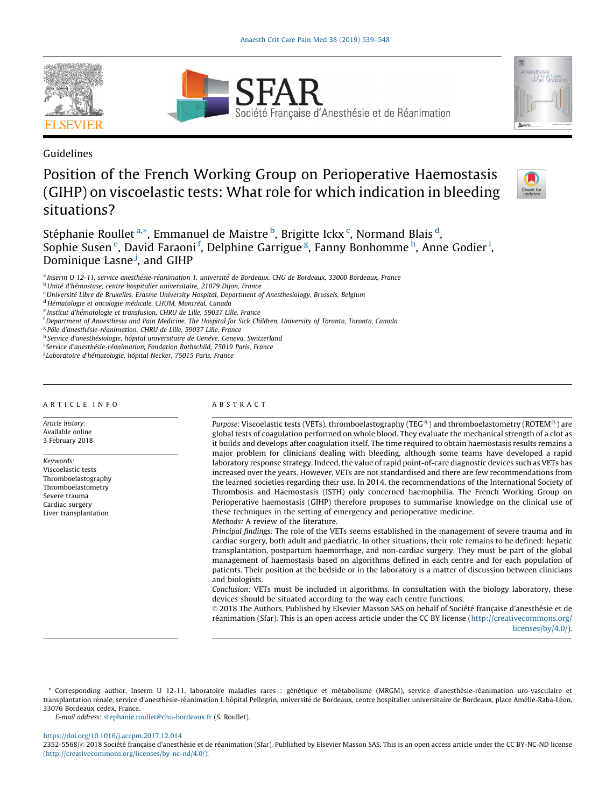





# Position of the French Working Group on Perioperative Haemostasis (GIHP) on viscoelastic tests: What role for which indication in bleeding situations?



Stéphanie Roullet <sup>a,\*</sup>, Emmanuel de Maistre <sup>b</sup>, Brigitte Ickx <sup>c</sup>, Normand Blais <sup>d</sup>, Sophie Susen<sup>e</sup>, David Faraoni<sup>f</sup>, Delphine Garrigue<sup>g</sup>, Fanny Bonhomme<sup>h</sup>, Anne Godier<sup>i</sup>, Dominique Lasne<sup>j</sup>, and GIHP

<sup>a</sup> Inserm U 12-11, service anesthésie-réanimation 1, université de Bordeaux, CHU de Bordeaux, 33000 Bordeaux, France

<sup>b</sup> Unité d'hémostase, centre hospitalier universitaire, 21079 Dijon, France

<sup>d</sup> Hématologie et oncologie médicale, CHUM, Montréal, Canada

e Institut d'hématologie et transfusion, CHRU de Lille, 59037 Lille, France

f Department of Anaesthesia and Pain Medicine, The Hospital for Sick Children, University of Toronto, Toronto, Canada

<sup>g</sup> Pôle d'anesthésie-réanimation, CHRU de Lille, 59037 Lille, France

h Service d'anesthésiologie, hôpital universitaire de Genève, Geneva, Switzerland

<sup>i</sup> Service d'anesthésie-réanimation, Fondation Rothschild, 75019 Paris, France

<sup>j</sup> Laboratoire d'hématologie, hôpital Necker, 75015 Paris, France

#### A R T I C L E I N F O

Article history: Available online 3 February 2018

Keywords: Viscoelastic tests Thromboelastography Thromboelastometry Severe trauma Cardiac surgery Liver transplantation

# A B S T R A C T

*Purpose: Viscoelastic tests (VETs), thromboelastography (TEG<sup>®</sup>) and thromboelastometry (ROTEM<sup>®</sup>) are* global tests of coagulation performed on whole blood. They evaluate the mechanical strength of a clot as it builds and develops after coagulation itself. The time required to obtain haemostasis results remains a major problem for clinicians dealing with bleeding, although some teams have developed a rapid laboratory response strategy. Indeed, the value of rapid point-of-care diagnostic devices such as VETs has increased over the years. However, VETs are not standardised and there are few recommendations from the learned societies regarding their use. In 2014, the recommendations of the International Society of Thrombosis and Haemostasis (ISTH) only concerned haemophilia. The French Working Group on Perioperative haemostasis (GIHP) therefore proposes to summarise knowledge on the clinical use of these techniques in the setting of emergency and perioperative medicine.

Methods: A review of the literature.

Principal findings: The role of the VETs seems established in the management of severe trauma and in cardiac surgery, both adult and paediatric. In other situations, their role remains to be defined: hepatic transplantation, postpartum haemorrhage, and non-cardiac surgery. They must be part of the global management of haemostasis based on algorithms defined in each centre and for each population of patients. Their position at the bedside or in the laboratory is a matter of discussion between clinicians and biologists.

Conclusion: VETs must be included in algorithms. In consultation with the biology laboratory, these devices should be situated according to the way each centre functions.

© 2018 The Authors. Published by Elsevier Masson SAS on behalf of Société française d'anesthésie et de réanimation (Sfar). This is an open access article under the CC BY license [\(http://creativecommons.org/](http://creativecommons.org/licenses/by/4.0/) [licenses/by/4.0/](http://creativecommons.org/licenses/by/4.0/)).

\* Corresponding author. Inserm U 12-11, laboratoire maladies rares : génétique et métabolisme (MRGM), service d'anesthésie-réanimation uro-vasculaire et transplantation rénale, service d'anesthésie-réanimation I, hôpital Pellegrin, université de Bordeaux, centre hospitalier universitaire de Bordeaux, place Amélie-Raba-Léon, 33076 Bordeaux cedex, France.

E-mail address: [stephanie.roullet@chu-bordeaux.fr](mailto:stephanie.roullet@chu-bordeaux.fr) (S. Roullet).

#### <https://doi.org/10.1016/j.accpm.2017.12.014>

2352-5568/© 2018 Société française d'anesthésie et de réanimation (Sfar). Published by Elsevier Masson SAS. This is an open access article under the CC BY-NC-ND license [\(http://creativecommons.org/licenses/by-nc-nd/4.0/\).](https://doi.org/)

<sup>&</sup>lt;sup>c</sup> Université Libre de Bruxelles, Erasme University Hospital, Department of Anesthesiology, Brussels, Belgium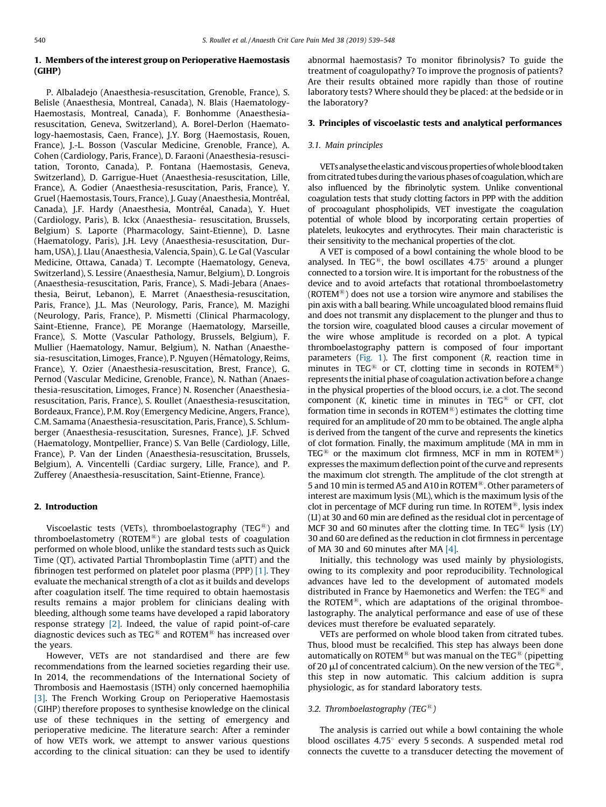# 1. Members of the interest group on Perioperative Haemostasis (GIHP)

P. Albaladejo (Anaesthesia-resuscitation, Grenoble, France), S. Belisle (Anaesthesia, Montreal, Canada), N. Blais (Haematology-Haemostasis, Montreal, Canada), F. Bonhomme (Anaesthesiaresuscitation, Geneva, Switzerland), A. Borel-Derlon (Haematology-haemostasis, Caen, France), J.Y. Borg (Haemostasis, Rouen, France), J.-L. Bosson (Vascular Medicine, Grenoble, France), A. Cohen (Cardiology, Paris, France), D. Faraoni (Anaesthesia-resuscitation, Toronto, Canada), P. Fontana (Haemostasis, Geneva, Switzerland), D. Garrigue-Huet (Anaesthesia-resuscitation, Lille, France), A. Godier (Anaesthesia-resuscitation, Paris, France), Y. Gruel (Haemostasis, Tours, France), J. Guay (Anaesthesia, Montréal, Canada), J.F. Hardy (Anaesthesia, Montréal, Canada), Y. Huet (Cardiology, Paris), B. Ickx (Anaesthesia- resuscitation, Brussels, Belgium) S. Laporte (Pharmacology, Saint-Etienne), D. Lasne (Haematology, Paris), J.H. Levy (Anaesthesia-resuscitation, Durham, USA), J. Llau (Anaesthesia, Valencia, Spain), G. Le Gal(Vascular Medicine, Ottawa, Canada) T. Lecompte (Haematology, Geneva, Switzerland), S. Lessire (Anaesthesia, Namur, Belgium), D. Longrois (Anaesthesia-resuscitation, Paris, France), S. Madi-Jebara (Anaesthesia, Beirut, Lebanon), E. Marret (Anaesthesia-resuscitation, Paris, France), J.L. Mas (Neurology, Paris, France), M. Mazighi (Neurology, Paris, France), P. Mismetti (Clinical Pharmacology, Saint-Etienne, France), PE Morange (Haematology, Marseille, France), S. Motte (Vascular Pathology, Brussels, Belgium), F. Mullier (Haematology, Namur, Belgium), N. Nathan (Anaesthesia-resuscitation, Limoges, France), P. Nguyen (Hématology, Reims, France), Y. Ozier (Anaesthesia-resuscitation, Brest, France), G. Pernod (Vascular Medicine, Grenoble, France), N. Nathan (Anaesthesia-resuscitation, Limoges, France) N. Rosencher (Anaesthesiaresuscitation, Paris, France), S. Roullet (Anaesthesia-resuscitation, Bordeaux, France), P.M. Roy (Emergency Medicine, Angers, France), C.M. Samama (Anaesthesia-resuscitation, Paris, France), S. Schlumberger (Anaesthesia-resuscitation, Suresnes, France), J.F. Schved (Haematology, Montpellier, France) S. Van Belle (Cardiology, Lille, France), P. Van der Linden (Anaesthesia-resuscitation, Brussels, Belgium), A. Vincentelli (Cardiac surgery, Lille, France), and P. Zufferey (Anaesthesia-resuscitation, Saint-Etienne, France).

## 2. Introduction

Viscoelastic tests (VETs), thromboelastography (TEG<sup>®</sup>) and thromboelastometry (ROTEM®) are global tests of coagulation performed on whole blood, unlike the standard tests such as Quick Time (QT), activated Partial Thromboplastin Time (aPTT) and the fibrinogen test performed on platelet poor plasma (PPP) [\[1\].](#page-7-0) They evaluate the mechanical strength of a clot as it builds and develops after coagulation itself. The time required to obtain haemostasis results remains a major problem for clinicians dealing with bleeding, although some teams have developed a rapid laboratory response strategy [\[2\]](#page-7-0). Indeed, the value of rapid point-of-care diagnostic devices such as TEG<sup>®</sup> and ROTEM<sup>®</sup> has increased over the years.

However, VETs are not standardised and there are few recommendations from the learned societies regarding their use. In 2014, the recommendations of the International Society of Thrombosis and Haemostasis (ISTH) only concerned haemophilia [\[3\].](#page-7-0) The French Working Group on Perioperative Haemostasis (GIHP) therefore proposes to synthesise knowledge on the clinical use of these techniques in the setting of emergency and perioperative medicine. The literature search: After a reminder of how VETs work, we attempt to answer various questions according to the clinical situation: can they be used to identify abnormal haemostasis? To monitor fibrinolysis? To guide the treatment of coagulopathy? To improve the prognosis of patients? Are their results obtained more rapidly than those of routine laboratory tests? Where should they be placed: at the bedside or in the laboratory?

## 3. Principles of viscoelastic tests and analytical performances

#### 3.1. Main principles

VETs analyse the elastic and viscous properties of whole blood taken from citrated tubes during the various phases of coagulation, which are also influenced by the fibrinolytic system. Unlike conventional coagulation tests that study clotting factors in PPP with the addition of procoagulant phospholipids, VET investigate the coagulation potential of whole blood by incorporating certain properties of platelets, leukocytes and erythrocytes. Their main characteristic is their sensitivity to the mechanical properties of the clot.

A VET is composed of a bowl containing the whole blood to be analysed. In TEG<sup>®</sup>, the bowl oscillates  $4.75^{\circ}$  around a plunger connected to a torsion wire. It is important for the robustness of the device and to avoid artefacts that rotational thromboelastometry (ROTEM $^{(8)}$ ) does not use a torsion wire anymore and stabilises the pin axis with a ball bearing. While uncoagulated blood remains fluid and does not transmit any displacement to the plunger and thus to the torsion wire, coagulated blood causes a circular movement of the wire whose amplitude is recorded on a plot. A typical thromboelastography pattern is composed of four important parameters [\(Fig.](#page-2-0) 1). The first component  $(R,$  reaction time in minutes in TEG<sup>®</sup> or CT, clotting time in seconds in ROTEM<sup>®</sup>) represents the initial phase of coagulation activation before a change in the physical properties of the blood occurs, i.e. a clot. The second component (K, kinetic time in minutes in TEG $<sup>®</sup>$  or CFT, clot</sup> formation time in seconds in ROTEM®) estimates the clotting time required for an amplitude of 20 mm to be obtained. The angle alpha is derived from the tangent of the curve and represents the kinetics of clot formation. Finally, the maximum amplitude (MA in mm in TEG<sup>®</sup> or the maximum clot firmness, MCF in mm in ROTEM<sup>®</sup>) expresses the maximum deflection point of the curve and represents the maximum clot strength. The amplitude of the clot strength at 5 and 10 min is termed A5 and A10 in ROTEM<sup>®</sup>. Other parameters of interest are maximum lysis (ML), which is the maximum lysis of the clot in percentage of MCF during run time. In ROTEM®, lysis index (LI) at 30 and 60 min are defined as the residual clot in percentage of MCF 30 and 60 minutes after the clotting time. In TEG<sup>®</sup> lysis (LY) 30 and 60 are defined as the reduction in clot firmness in percentage of MA 30 and 60 minutes after MA  $[4]$ .

Initially, this technology was used mainly by physiologists, owing to its complexity and poor reproducibility. Technological advances have led to the development of automated models distributed in France by Haemonetics and Werfen: the  $TEG^{\circledR}$  and the ROTEM $^{48}$ , which are adaptations of the original thromboelastography. The analytical performance and ease of use of these devices must therefore be evaluated separately.

VETs are performed on whole blood taken from citrated tubes. Thus, blood must be recalcified. This step has always been done automatically on ROTEM<sup>®</sup> but was manual on the TEG<sup>®</sup> (pipetting of 20  $\mu$ l of concentrated calcium). On the new version of the TEG<sup>®</sup>, this step in now automatic. This calcium addition is supra physiologic, as for standard laboratory tests.

## 3.2. Thromboelastography (TEG<sup>®</sup>)

The analysis is carried out while a bowl containing the whole blood oscillates  $4.75^{\circ}$  every 5 seconds. A suspended metal rod connects the cuvette to a transducer detecting the movement of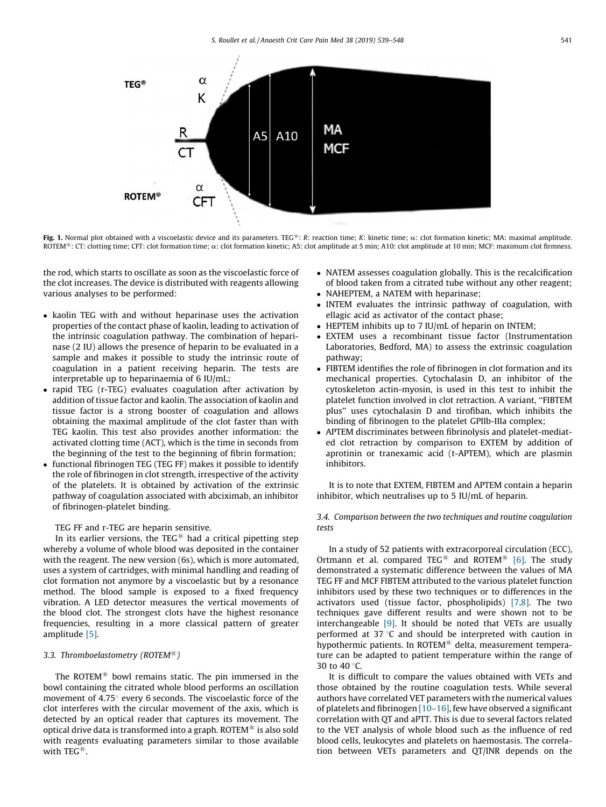<span id="page-2-0"></span>

Fig. 1. Normal plot obtained with a viscoelastic device and its parameters. TEG®: R: reaction time; K: kinetic time;  $\alpha$ : clot formation kinetic; MA: maximal amplitude. ROTEM<sup>®</sup>: CT: clotting time; CFT: clot formation time;  $\alpha$ : clot formation kinetic; A5: clot amplitude at 5 min; A10: clot amplitude at 10 min; MCF: maximum clot firmness.

the rod, which starts to oscillate as soon as the viscoelastic force of the clot increases. The device is distributed with reagents allowing various analyses to be performed:

- kaolin TEG with and without heparinase uses the activation properties of the contact phase of kaolin, leading to activation of the intrinsic coagulation pathway. The combination of heparinase (2 IU) allows the presence of heparin to be evaluated in a sample and makes it possible to study the intrinsic route of coagulation in a patient receiving heparin. The tests are interpretable up to heparinaemia of 6 IU/mL;
- rapid TEG (r-TEG) evaluates coagulation after activation by addition of tissue factor and kaolin. The association of kaolin and tissue factor is a strong booster of coagulation and allows obtaining the maximal amplitude of the clot faster than with TEG kaolin. This test also provides another information: the activated clotting time (ACT), which is the time in seconds from the beginning of the test to the beginning of fibrin formation;
- functional fibrinogen TEG (TEG FF) makes it possible to identify the role of fibrinogen in clot strength, irrespective of the activity of the platelets. It is obtained by activation of the extrinsic pathway of coagulation associated with abciximab, an inhibitor of fibrinogen-platelet binding.

TEG FF and r-TEG are heparin sensitive.

In its earlier versions, the TEG $<sup>®</sup>$  had a critical pipetting step</sup> whereby a volume of whole blood was deposited in the container with the reagent. The new version (6s), which is more automated, uses a system of cartridges, with minimal handling and reading of clot formation not anymore by a viscoelastic but by a resonance method. The blood sample is exposed to a fixed frequency vibration. A LED detector measures the vertical movements of the blood clot. The strongest clots have the highest resonance frequencies, resulting in a more classical pattern of greater amplitude [\[5\]](#page-7-0).

## 3.3. Thromboelastometry (ROTEM<sup>®</sup>)

The ROTEM $<sup>®</sup>$  bowl remains static. The pin immersed in the</sup> bowl containing the citrated whole blood performs an oscillation movement of  $4.75^{\circ}$  every 6 seconds. The viscoelastic force of the clot interferes with the circular movement of the axis, which is detected by an optical reader that captures its movement. The optical drive data is transformed into a graph. ROTEM $^{\circledR}$  is also sold with reagents evaluating parameters similar to those available with  $TFC^{\circledR}$ .

- NATEM assesses coagulation globally. This is the recalcification of blood taken from a citrated tube without any other reagent;
- NAHEPTEM, a NATEM with heparinase:
- INTEM evaluates the intrinsic pathway of coagulation, with ellagic acid as activator of the contact phase;
- HEPTEM inhibits up to 7 IU/mL of heparin on INTEM;
- EXTEM uses a recombinant tissue factor (Instrumentation Laboratories, Bedford, MA) to assess the extrinsic coagulation pathway;
- FIBTEM identifies the role of fibrinogen in clot formation and its mechanical properties. Cytochalasin D, an inhibitor of the cytoskeleton actin-myosin, is used in this test to inhibit the platelet function involved in clot retraction. A variant, ''FIBTEM plus'' uses cytochalasin D and tirofiban, which inhibits the binding of fibrinogen to the platelet GPIIb-IIIa complex;
- APTEM discriminates between fibrinolysis and platelet-mediated clot retraction by comparison to EXTEM by addition of aprotinin or tranexamic acid (t-APTEM), which are plasmin inhibitors.

It is to note that EXTEM, FIBTEM and APTEM contain a heparin inhibitor, which neutralises up to 5 IU/mL of heparin.

## 3.4. Comparison between the two techniques and routine coagulation tests

In a study of 52 patients with extracorporeal circulation (ECC), Ortmann et al. compared TEG<sup>®</sup> and ROTEM<sup>®</sup> [\[6\]](#page-7-0). The study demonstrated a systematic difference between the values of MA TEG FF and MCF FIBTEM attributed to the various platelet function inhibitors used by these two techniques or to differences in the activators used (tissue factor, phospholipids) [\[7,8\]](#page-7-0). The two techniques gave different results and were shown not to be interchangeable [\[9\]](#page-7-0). It should be noted that VETs are usually performed at  $37^{\circ}$ C and should be interpreted with caution in hypothermic patients. In ROTEM $\textsuperscript{10}$  delta, measurement temperature can be adapted to patient temperature within the range of 30 to 40 $\degree$ C.

It is difficult to compare the values obtained with VETs and those obtained by the routine coagulation tests. While several authors have correlated VET parameters with the numerical values of platelets and fibrinogen [\[10–16\],](#page-7-0) few have observed a significant correlation with QT and aPTT. This is due to several factors related to the VET analysis of whole blood such as the influence of red blood cells, leukocytes and platelets on haemostasis. The correlation between VETs parameters and QT/INR depends on the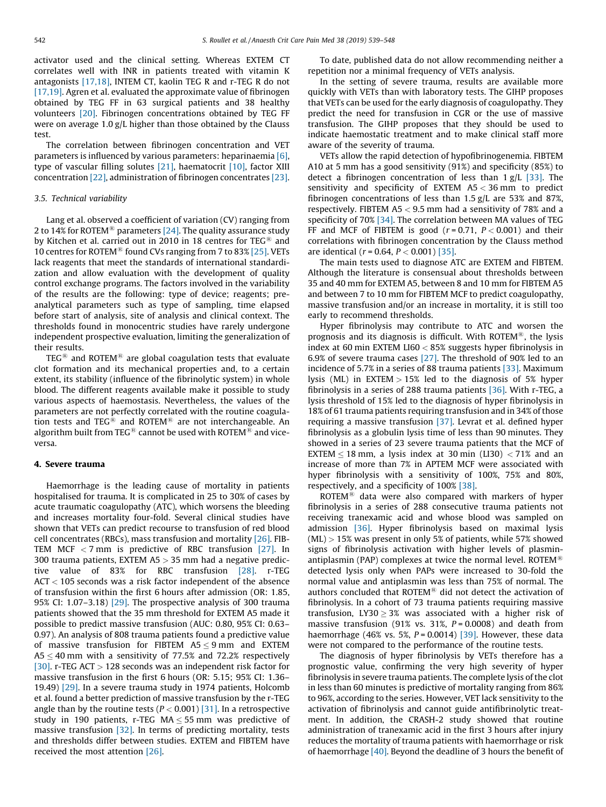activator used and the clinical setting. Whereas EXTEM CT correlates well with INR in patients treated with vitamin K antagonists [\[17,18\],](#page-7-0) INTEM CT, kaolin TEG R and r-TEG R do not [\[17,19\].](#page-7-0) Agren et al. evaluated the approximate value of fibrinogen obtained by TEG FF in 63 surgical patients and 38 healthy volunteers [\[20\].](#page-7-0) Fibrinogen concentrations obtained by TEG FF were on average 1.0 g/L higher than those obtained by the Clauss test.

The correlation between fibrinogen concentration and VET parameters is influenced by various parameters: heparinaemia [\[6\],](#page-7-0) type of vascular filling solutes [\[21\],](#page-7-0) haematocrit [\[10\],](#page-7-0) factor XIII concentration [\[22\]](#page-7-0), administration of fibrinogen concentrates [\[23\].](#page-7-0)

## 3.5. Technical variability

Lang et al. observed a coefficient of variation (CV) ranging from 2 to 14% for ROTEM<sup>®</sup> parameters [\[24\].](#page-7-0) The quality assurance study by Kitchen et al. carried out in 2010 in 18 centres for  $TEG^{\textcircled{a}}$  and 10 centres for ROTEM<sup>®</sup> found CVs ranging from 7 to 83% [\[25\]](#page-8-0). VETs lack reagents that meet the standards of international standardization and allow evaluation with the development of quality control exchange programs. The factors involved in the variability of the results are the following: type of device; reagents; preanalytical parameters such as type of sampling, time elapsed before start of analysis, site of analysis and clinical context. The thresholds found in monocentric studies have rarely undergone independent prospective evaluation, limiting the generalization of their results.

 $\mathrm{TEG}^{\circledR}$  and ROTEM $^{\circledR}$  are global coagulation tests that evaluate clot formation and its mechanical properties and, to a certain extent, its stability (influence of the fibrinolytic system) in whole blood. The different reagents available make it possible to study various aspects of haemostasis. Nevertheless, the values of the parameters are not perfectly correlated with the routine coagulation tests and TEG<sup>®</sup> and ROTEM<sup>®</sup> are not interchangeable. An algorithm built from TEG<sup>®</sup> cannot be used with ROTEM<sup>®</sup> and viceversa.

#### 4. Severe trauma

Haemorrhage is the leading cause of mortality in patients hospitalised for trauma. It is complicated in 25 to 30% of cases by acute traumatic coagulopathy (ATC), which worsens the bleeding and increases mortality four-fold. Several clinical studies have shown that VETs can predict recourse to transfusion of red blood cell concentrates (RBCs), mass transfusion and mortality [\[26\]](#page-8-0). FIB-TEM MCF < 7 mm is predictive of RBC transfusion [\[27\].](#page-8-0) In 300 trauma patients, EXTEM A5 > 35 mm had a negative predictive value of 83% for RBC transfusion [\[28\]](#page-8-0). r-TEG ACT < 105 seconds was a risk factor independent of the absence of transfusion within the first 6 hours after admission (OR: 1.85, 95% CI: 1.07–3.18) [\[29\]](#page-8-0). The prospective analysis of 300 trauma patients showed that the 35 mm threshold for EXTEM A5 made it possible to predict massive transfusion (AUC: 0.80, 95% CI: 0.63– 0.97). An analysis of 808 trauma patients found a predictive value of massive transfusion for FIBTEM  $AS \leq 9$  mm and EXTEM  $A5 \leq 40$  mm with a sensitivity of 77.5% and 72.2% respectively [\[30\]](#page-8-0). r-TEG ACT  $>$  128 seconds was an independent risk factor for massive transfusion in the first 6 hours (OR: 5.15; 95% CI: 1.36– 19.49) [\[29\].](#page-8-0) In a severe trauma study in 1974 patients, Holcomb et al. found a better prediction of massive transfusion by the r-TEG angle than by the routine tests ( $P < 0.001$ ) [\[31\].](#page-8-0) In a retrospective study in 190 patients, r-TEG  $MA \leq 55$  mm was predictive of massive transfusion [\[32\]](#page-8-0). In terms of predicting mortality, tests and thresholds differ between studies. EXTEM and FIBTEM have received the most attention [\[26\]](#page-8-0).

To date, published data do not allow recommending neither a repetition nor a minimal frequency of VETs analysis.

In the setting of severe trauma, results are available more quickly with VETs than with laboratory tests. The GIHP proposes that VETs can be used for the early diagnosis of coagulopathy. They predict the need for transfusion in CGR or the use of massive transfusion. The GIHP proposes that they should be used to indicate haemostatic treatment and to make clinical staff more aware of the severity of trauma.

VETs allow the rapid detection of hypofibrinogenemia. FIBTEM A10 at 5 mm has a good sensitivity (91%) and specificity (85%) to detect a fibrinogen concentration of less than  $1 g/L$  [\[33\]](#page-8-0). The sensitivity and specificity of EXTEM A5 < 36 mm to predict fibrinogen concentrations of less than 1.5 g/L are 53% and 87%, respectively. FIBTEM  $A5 < 9.5$  mm had a sensitivity of 78% and a specificity of 70% [\[34\]](#page-8-0). The correlation between MA values of TEG FF and MCF of FIBTEM is good ( $r = 0.71$ ,  $P < 0.001$ ) and their correlations with fibrinogen concentration by the Clauss method are identical ( $r = 0.64$ ,  $P < 0.001$ ) [\[35\].](#page-8-0)

The main tests used to diagnose ATC are EXTEM and FIBTEM. Although the literature is consensual about thresholds between 35 and 40 mm for EXTEM A5, between 8 and 10 mm for FIBTEM A5 and between 7 to 10 mm for FIBTEM MCF to predict coagulopathy, massive transfusion and/or an increase in mortality, it is still too early to recommend thresholds.

Hyper fibrinolysis may contribute to ATC and worsen the prognosis and its diagnosis is difficult. With ROTEM®, the lysis index at 60 min EXTEM LI60 < 85% suggests hyper fibrinolysis in 6.9% of severe trauma cases [\[27\].](#page-8-0) The threshold of 90% led to an incidence of 5.7% in a series of 88 trauma patients [\[33\]](#page-8-0). Maximum lysis (ML) in  $EXTEM > 15%$  led to the diagnosis of 5% hyper fibrinolysis in a series of 288 trauma patients [\[36\]](#page-8-0). With r-TEG, a lysis threshold of 15% led to the diagnosis of hyper fibrinolysis in 18% of 61 trauma patients requiring transfusion and in 34% of those requiring a massive transfusion [\[37\].](#page-8-0) Levrat et al. defined hyper fibrinolysis as a globulin lysis time of less than 90 minutes. They showed in a series of 23 severe trauma patients that the MCF of EXTEM  $<$  18 mm, a lysis index at 30 min (LI30)  $<$  71% and an increase of more than 7% in APTEM MCF were associated with hyper fibrinolysis with a sensitivity of 100%, 75% and 80%, respectively, and a specificity of 100% [\[38\]](#page-8-0).

ROTEM $^{(8)}$  data were also compared with markers of hyper fibrinolysis in a series of 288 consecutive trauma patients not receiving tranexamic acid and whose blood was sampled on admission [\[36\].](#page-8-0) Hyper fibrinolysis based on maximal lysis  $(ML) > 15%$  was present in only 5% of patients, while 57% showed signs of fibrinolysis activation with higher levels of plasminantiplasmin (PAP) complexes at twice the normal level. ROTEM<sup>®</sup> detected lysis only when PAPs were increased to 30-fold the normal value and antiplasmin was less than 75% of normal. The authors concluded that ROTEM $<sup>®</sup>$  did not detect the activation of</sup> fibrinolysis. In a cohort of 73 trauma patients requiring massive transfusion, LY30  $\geq$  3% was associated with a higher risk of massive transfusion (91% vs. 31%,  $P = 0.0008$ ) and death from haemorrhage (46% vs. 5%,  $P = 0.0014$ ) [\[39\]](#page-8-0). However, these data were not compared to the performance of the routine tests.

The diagnosis of hyper fibrinolysis by VETs therefore has a prognostic value, confirming the very high severity of hyper fibrinolysis in severe trauma patients. The complete lysis of the clot in less than 60 minutes is predictive of mortality ranging from 86% to 96%, according to the series. However, VET lack sensitivity to the activation of fibrinolysis and cannot guide antifibrinolytic treatment. In addition, the CRASH-2 study showed that routine administration of tranexamic acid in the first 3 hours after injury reduces the mortality of trauma patients with haemorrhage or risk of haemorrhage [\[40\]](#page-8-0). Beyond the deadline of 3 hours the benefit of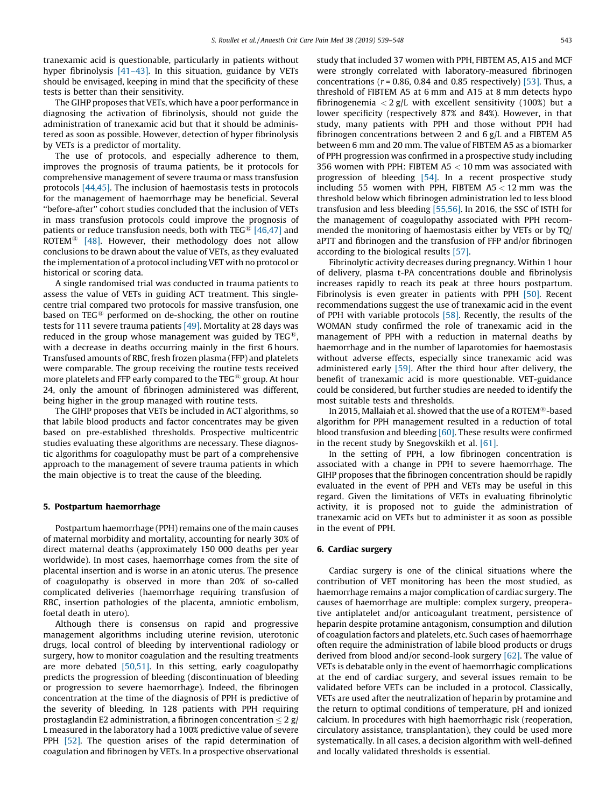tranexamic acid is questionable, particularly in patients without hyper fibrinolysis [41-43]. In this situation, guidance by VETs should be envisaged, keeping in mind that the specificity of these tests is better than their sensitivity.

The GIHP proposes that VETs, which have a poor performance in diagnosing the activation of fibrinolysis, should not guide the administration of tranexamic acid but that it should be administered as soon as possible. However, detection of hyper fibrinolysis by VETs is a predictor of mortality.

The use of protocols, and especially adherence to them, improves the prognosis of trauma patients, be it protocols for comprehensive management of severe trauma or mass transfusion protocols [\[44,45\]](#page-8-0). The inclusion of haemostasis tests in protocols for the management of haemorrhage may be beneficial. Several ''before-after'' cohort studies concluded that the inclusion of VETs in mass transfusion protocols could improve the prognosis of patients or reduce transfusion needs, both with  $TEG^{\circledR}$  [\[46,47\]](#page-8-0) and ROTEM<sup>®</sup> [\[48\].](#page-8-0) However, their methodology does not allow conclusions to be drawn about the value of VETs, as they evaluated the implementation of a protocol including VET with no protocol or historical or scoring data.

A single randomised trial was conducted in trauma patients to assess the value of VETs in guiding ACT treatment. This singlecentre trial compared two protocols for massive transfusion, one based on  $\mathrm{TEG}^{\circledR}$  performed on de-shocking, the other on routine tests for 111 severe trauma patients [\[49\]](#page-8-0). Mortality at 28 days was reduced in the group whose management was guided by  $TEG^{\circledR}$ , with a decrease in deaths occurring mainly in the first 6 hours. Transfused amounts of RBC, fresh frozen plasma (FFP) and platelets were comparable. The group receiving the routine tests received more platelets and FFP early compared to the TEG $\mathcal{B}$  group. At hour 24, only the amount of fibrinogen administered was different, being higher in the group managed with routine tests.

The GIHP proposes that VETs be included in ACT algorithms, so that labile blood products and factor concentrates may be given based on pre-established thresholds. Prospective multicentric studies evaluating these algorithms are necessary. These diagnostic algorithms for coagulopathy must be part of a comprehensive approach to the management of severe trauma patients in which the main objective is to treat the cause of the bleeding.

### 5. Postpartum haemorrhage

Postpartum haemorrhage (PPH) remains one of the main causes of maternal morbidity and mortality, accounting for nearly 30% of direct maternal deaths (approximately 150 000 deaths per year worldwide). In most cases, haemorrhage comes from the site of placental insertion and is worse in an atonic uterus. The presence of coagulopathy is observed in more than 20% of so-called complicated deliveries (haemorrhage requiring transfusion of RBC, insertion pathologies of the placenta, amniotic embolism, foetal death in utero).

Although there is consensus on rapid and progressive management algorithms including uterine revision, uterotonic drugs, local control of bleeding by interventional radiology or surgery, how to monitor coagulation and the resulting treatments are more debated  $[50,51]$ . In this setting, early coagulopathy predicts the progression of bleeding (discontinuation of bleeding or progression to severe haemorrhage). Indeed, the fibrinogen concentration at the time of the diagnosis of PPH is predictive of the severity of bleeding. In 128 patients with PPH requiring prostaglandin E2 administration, a fibrinogen concentration  $\leq 2$  g/ L measured in the laboratory had a 100% predictive value of severe PPH [\[52\].](#page-8-0) The question arises of the rapid determination of coagulation and fibrinogen by VETs. In a prospective observational study that included 37 women with PPH, FIBTEM A5, A15 and MCF were strongly correlated with laboratory-measured fibrinogen concentrations ( $r = 0.86$ , 0.84 and 0.85 respectively) [\[53\]](#page-8-0). Thus, a threshold of FIBTEM A5 at 6 mm and A15 at 8 mm detects hypo fibrinogenemia  $< 2$  g/L with excellent sensitivity (100%) but a lower specificity (respectively 87% and 84%). However, in that study, many patients with PPH and those without PPH had fibrinogen concentrations between 2 and 6 g/L and a FIBTEM A5 between 6 mm and 20 mm. The value of FIBTEM A5 as a biomarker of PPH progression was confirmed in a prospective study including 356 women with PPH: FIBTEM A5 < 10 mm was associated with progression of bleeding [\[54\].](#page-8-0) In a recent prospective study including 55 women with PPH, FIBTEM  $A5 < 12$  mm was the threshold below which fibrinogen administration led to less blood transfusion and less bleeding [\[55,56\].](#page-8-0) In 2016, the SSC of ISTH for the management of coagulopathy associated with PPH recommended the monitoring of haemostasis either by VETs or by TQ/ aPTT and fibrinogen and the transfusion of FFP and/or fibrinogen according to the biological results [\[57\].](#page-8-0)

Fibrinolytic activity decreases during pregnancy. Within 1 hour of delivery, plasma t-PA concentrations double and fibrinolysis increases rapidly to reach its peak at three hours postpartum. Fibrinolysis is even greater in patients with PPH [\[50\]](#page-8-0). Recent recommendations suggest the use of tranexamic acid in the event of PPH with variable protocols [\[58\].](#page-8-0) Recently, the results of the WOMAN study confirmed the role of tranexamic acid in the management of PPH with a reduction in maternal deaths by haemorrhage and in the number of laparotomies for haemostasis without adverse effects, especially since tranexamic acid was administered early [\[59\]](#page-8-0). After the third hour after delivery, the benefit of tranexamic acid is more questionable. VET-guidance could be considered, but further studies are needed to identify the most suitable tests and thresholds.

In 2015, Mallaiah et al. showed that the use of a ROTEM $^{(8)}$ -based algorithm for PPH management resulted in a reduction of total blood transfusion and bleeding [\[60\].](#page-8-0) These results were confirmed in the recent study by Snegovskikh et al. [\[61\].](#page-8-0)

In the setting of PPH, a low fibrinogen concentration is associated with a change in PPH to severe haemorrhage. The GIHP proposes that the fibrinogen concentration should be rapidly evaluated in the event of PPH and VETs may be useful in this regard. Given the limitations of VETs in evaluating fibrinolytic activity, it is proposed not to guide the administration of tranexamic acid on VETs but to administer it as soon as possible in the event of PPH.

## 6. Cardiac surgery

Cardiac surgery is one of the clinical situations where the contribution of VET monitoring has been the most studied, as haemorrhage remains a major complication of cardiac surgery. The causes of haemorrhage are multiple: complex surgery, preoperative antiplatelet and/or anticoagulant treatment, persistence of heparin despite protamine antagonism, consumption and dilution of coagulation factors and platelets, etc. Such cases of haemorrhage often require the administration of labile blood products or drugs derived from blood and/or second-look surgery [\[62\]](#page-8-0). The value of VETs is debatable only in the event of haemorrhagic complications at the end of cardiac surgery, and several issues remain to be validated before VETs can be included in a protocol. Classically, VETs are used after the neutralization of heparin by protamine and the return to optimal conditions of temperature, pH and ionized calcium. In procedures with high haemorrhagic risk (reoperation, circulatory assistance, transplantation), they could be used more systematically. In all cases, a decision algorithm with well-defined and locally validated thresholds is essential.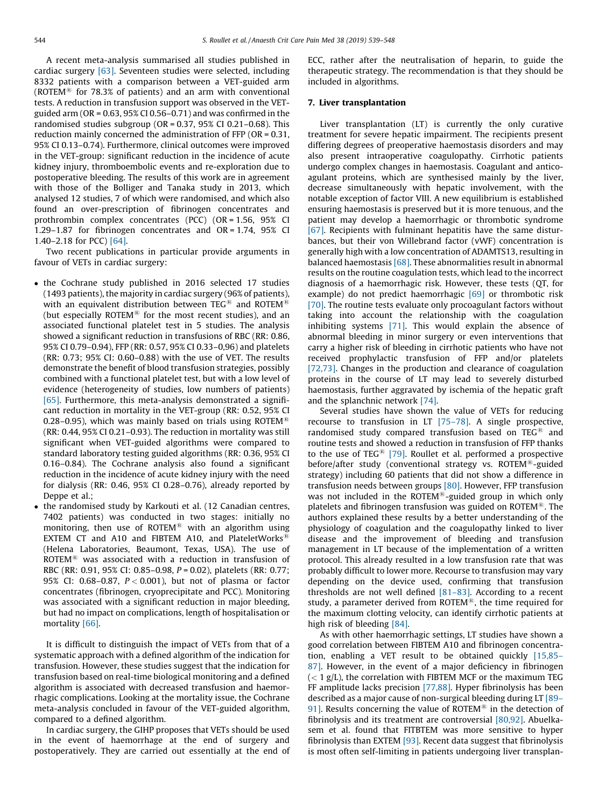A recent meta-analysis summarised all studies published in cardiac surgery [\[63\]](#page-8-0). Seventeen studies were selected, including 8332 patients with a comparison between a VET-guided arm (ROTEM $^{(8)}$  for 78.3% of patients) and an arm with conventional tests. A reduction in transfusion support was observed in the VETguided arm (OR =  $0.63$ , 95% CI 0.56-0.71) and was confirmed in the randomised studies subgroup (OR = 0.37, 95% CI 0.21–0.68). This reduction mainly concerned the administration of FFP (OR = 0.31, 95% CI 0.13–0.74). Furthermore, clinical outcomes were improved in the VET-group: significant reduction in the incidence of acute kidney injury, thromboembolic events and re-exploration due to postoperative bleeding. The results of this work are in agreement with those of the Bolliger and Tanaka study in 2013, which analysed 12 studies, 7 of which were randomised, and which also found an over-prescription of fibrinogen concentrates and prothrombin complex concentrates (PCC) (OR = 1.56, 95% CI 1.29–1.87 for fibrinogen concentrates and OR = 1.74, 95% CI 1.40–2.18 for PCC) [\[64\].](#page-8-0)

Two recent publications in particular provide arguments in favour of VETs in cardiac surgery:

- the Cochrane study published in 2016 selected 17 studies  $(1493$  patients), the majority in cardiac surgery  $(96\%$  of patients), with an equivalent distribution between TEG<sup>®</sup> and ROTEM<sup>®</sup> (but especially ROTEM<sup>®</sup> for the most recent studies), and an associated functional platelet test in 5 studies. The analysis showed a significant reduction in transfusions of RBC (RR: 0.86, 95% CI 0.79–0.94), FFP (RR: 0.57, 95% CI 0.33–0,96) and platelets (RR: 0.73; 95% CI: 0.60–0.88) with the use of VET. The results demonstrate the benefit of blood transfusion strategies, possibly combined with a functional platelet test, but with a low level of evidence (heterogeneity of studies, low numbers of patients) [\[65\]](#page-8-0). Furthermore, this meta-analysis demonstrated a significant reduction in mortality in the VET-group (RR: 0.52, 95% CI 0.28–0.95), which was mainly based on trials using ROTEM<sup>®</sup> (RR: 0.44, 95% CI 0.21–0.93). The reduction in mortality was still significant when VET-guided algorithms were compared to standard laboratory testing guided algorithms (RR: 0.36, 95% CI 0.16–0.84). The Cochrane analysis also found a significant reduction in the incidence of acute kidney injury with the need for dialysis (RR: 0.46, 95% CI 0.28–0.76), already reported by Deppe et al.;
- the randomised study by Karkouti et al. (12 Canadian centres, 7402 patients) was conducted in two stages: initially no monitoring, then use of ROTEM<sup>®</sup> with an algorithm using EXTEM CT and A10 and FIBTEM A10, and PlateletWorks<sup>®</sup> (Helena Laboratories, Beaumont, Texas, USA). The use of ROTEM $^{(8)}$  was associated with a reduction in transfusion of RBC (RR: 0.91, 95% CI: 0.85–0.98, P = 0.02), platelets (RR: 0.77; 95% CI: 0.68-0.87,  $P < 0.001$ ), but not of plasma or factor concentrates (fibrinogen, cryoprecipitate and PCC). Monitoring was associated with a significant reduction in major bleeding, but had no impact on complications, length of hospitalisation or mortality [\[66\].](#page-8-0)

It is difficult to distinguish the impact of VETs from that of a systematic approach with a defined algorithm of the indication for transfusion. However, these studies suggest that the indication for transfusion based on real-time biological monitoring and a defined algorithm is associated with decreased transfusion and haemorrhagic complications. Looking at the mortality issue, the Cochrane meta-analysis concluded in favour of the VET-guided algorithm, compared to a defined algorithm.

In cardiac surgery, the GIHP proposes that VETs should be used in the event of haemorrhage at the end of surgery and postoperatively. They are carried out essentially at the end of ECC, rather after the neutralisation of heparin, to guide the therapeutic strategy. The recommendation is that they should be included in algorithms.

## 7. Liver transplantation

Liver transplantation (LT) is currently the only curative treatment for severe hepatic impairment. The recipients present differing degrees of preoperative haemostasis disorders and may also present intraoperative coagulopathy. Cirrhotic patients undergo complex changes in haemostasis. Coagulant and anticoagulant proteins, which are synthesised mainly by the liver, decrease simultaneously with hepatic involvement, with the notable exception of factor VIII. A new equilibrium is established ensuring haemostasis is preserved but it is more tenuous, and the patient may develop a haemorrhagic or thrombotic syndrome [\[67\]](#page-8-0). Recipients with fulminant hepatitis have the same disturbances, but their von Willebrand factor (vWF) concentration is generally high with a low concentration of ADAMTS13, resulting in balanced haemostasis  $[68]$ . These abnormalities result in abnormal results on the routine coagulation tests, which lead to the incorrect diagnosis of a haemorrhagic risk. However, these tests (QT, for example) do not predict haemorrhagic [\[69\]](#page-8-0) or thrombotic risk [\[70\]](#page-8-0). The routine tests evaluate only procoagulant factors without taking into account the relationship with the coagulation inhibiting systems [\[71\]](#page-8-0). This would explain the absence of abnormal bleeding in minor surgery or even interventions that carry a higher risk of bleeding in cirrhotic patients who have not received prophylactic transfusion of FFP and/or platelets [\[72,73\].](#page-8-0) Changes in the production and clearance of coagulation proteins in the course of LT may lead to severely disturbed haemostasis, further aggravated by ischemia of the hepatic graft and the splanchnic network [\[74\].](#page-8-0)

Several studies have shown the value of VETs for reducing recourse to transfusion in LT [\[75–78\].](#page-8-0) A single prospective, randomised study compared transfusion based on TEG $<sup>®</sup>$  and</sup> routine tests and showed a reduction in transfusion of FFP thanks to the use of TEG<sup>®</sup> [\[79\]](#page-9-0). Roullet et al. performed a prospective before/after study (conventional strategy vs. ROTEM<sup>®</sup>-guided strategy) including 60 patients that did not show a difference in transfusion needs between groups [\[80\]](#page-9-0). However, FFP transfusion was not included in the ROTEM $<sup>®</sup>$ -guided group in which only</sup> platelets and fibrinogen transfusion was guided on ROTEM $^{\circledR}$ . The authors explained these results by a better understanding of the physiology of coagulation and the coagulopathy linked to liver disease and the improvement of bleeding and transfusion management in LT because of the implementation of a written protocol. This already resulted in a low transfusion rate that was probably difficult to lower more. Recourse to transfusion may vary depending on the device used, confirming that transfusion thresholds are not well defined  $[81-83]$ . According to a recent study, a parameter derived from ROTEM $\mathcal{B}$ , the time required for the maximum clotting velocity, can identify cirrhotic patients at high risk of bleeding [\[84\].](#page-9-0)

As with other haemorrhagic settings, LT studies have shown a good correlation between FIBTEM A10 and fibrinogen concentration, enabling a VET result to be obtained quickly [\[15,85–](#page-7-0) [87\]](#page-7-0). However, in the event of a major deficiency in fibrinogen  $(< 1 g/L)$ , the correlation with FIBTEM MCF or the maximum TEG FF amplitude lacks precision [\[77,88\].](#page-9-0) Hyper fibrinolysis has been described as a major cause of non-surgical bleeding during LT [\[89–](#page-9-0) [91\]](#page-9-0). Results concerning the value of ROTEM<sup>®</sup> in the detection of fibrinolysis and its treatment are controversial [\[80,92\]](#page-9-0). Abuelkasem et al. found that FITBTEM was more sensitive to hyper fibrinolysis than EXTEM [\[93\].](#page-9-0) Recent data suggest that fibrinolysis is most often self-limiting in patients undergoing liver transplan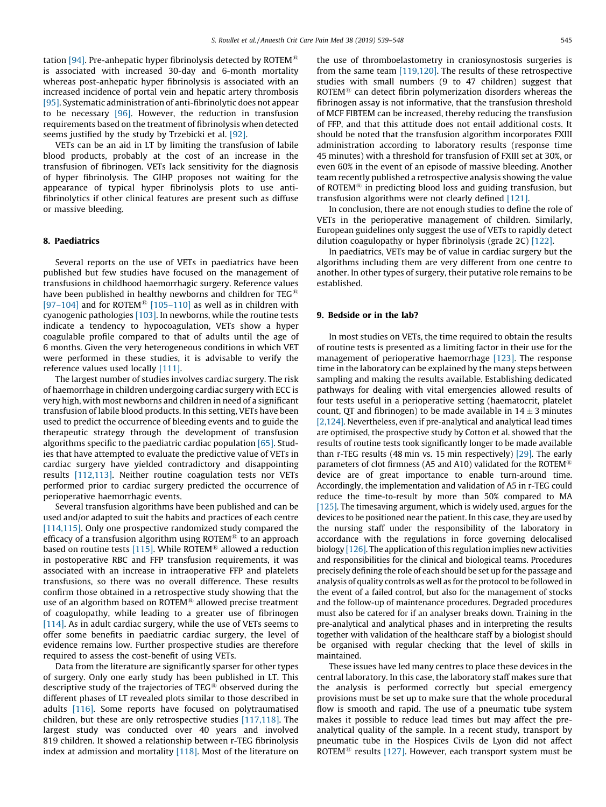tation [\[94\]](#page-9-0). Pre-anhepatic hyper fibrinolysis detected by ROTEM<sup>®</sup> is associated with increased 30-day and 6-month mortality whereas post-anhepatic hyper fibrinolysis is associated with an increased incidence of portal vein and hepatic artery thrombosis [\[95\]](#page-9-0). Systematic administration of anti-fibrinolytic does not appear to be necessary [\[96\].](#page-9-0) However, the reduction in transfusion requirements based on the treatment of fibrinolysis when detected seems justified by the study by Trzebicki et al. [\[92\].](#page-9-0)

VETs can be an aid in LT by limiting the transfusion of labile blood products, probably at the cost of an increase in the transfusion of fibrinogen. VETs lack sensitivity for the diagnosis of hyper fibrinolysis. The GIHP proposes not waiting for the appearance of typical hyper fibrinolysis plots to use antifibrinolytics if other clinical features are present such as diffuse or massive bleeding.

## 8. Paediatrics

Several reports on the use of VETs in paediatrics have been published but few studies have focused on the management of transfusions in childhood haemorrhagic surgery. Reference values have been published in healthy newborns and children for  $TEG^{\mathcal{R}}$ [\[97–104\]](#page-9-0) and for ROTEM<sup>®</sup> [\[105–110\]](#page-9-0) as well as in children with cyanogenic pathologies [\[103\].](#page-9-0) In newborns, while the routine tests indicate a tendency to hypocoagulation, VETs show a hyper coagulable profile compared to that of adults until the age of 6 months. Given the very heterogeneous conditions in which VET were performed in these studies, it is advisable to verify the reference values used locally [\[111\]](#page-9-0).

The largest number of studies involves cardiac surgery. The risk of haemorrhage in children undergoing cardiac surgery with ECC is very high, with most newborns and children in need of a significant transfusion of labile blood products. In this setting, VETs have been used to predict the occurrence of bleeding events and to guide the therapeutic strategy through the development of transfusion algorithms specific to the paediatric cardiac population [\[65\].](#page-8-0) Studies that have attempted to evaluate the predictive value of VETs in cardiac surgery have yielded contradictory and disappointing results [\[112,113\]](#page-9-0). Neither routine coagulation tests nor VETs performed prior to cardiac surgery predicted the occurrence of perioperative haemorrhagic events.

Several transfusion algorithms have been published and can be used and/or adapted to suit the habits and practices of each centre [\[114,115\]](#page-9-0). Only one prospective randomized study compared the efficacy of a transfusion algorithm using ROTEM® to an approach based on routine tests [\[115\].](#page-9-0) While ROTEM<sup>®</sup> allowed a reduction in postoperative RBC and FFP transfusion requirements, it was associated with an increase in intraoperative FFP and platelets transfusions, so there was no overall difference. These results confirm those obtained in a retrospective study showing that the use of an algorithm based on  $ROTEM^{\circledR}$  allowed precise treatment of coagulopathy, while leading to a greater use of fibrinogen [\[114\]](#page-9-0). As in adult cardiac surgery, while the use of VETs seems to offer some benefits in paediatric cardiac surgery, the level of evidence remains low. Further prospective studies are therefore required to assess the cost-benefit of using VETs.

Data from the literature are significantly sparser for other types of surgery. Only one early study has been published in LT. This descriptive study of the trajectories of TEG $<sup>®</sup>$  observed during the</sup> different phases of LT revealed plots similar to those described in adults [\[116\].](#page-9-0) Some reports have focused on polytraumatised children, but these are only retrospective studies [\[117,118\]](#page-9-0). The largest study was conducted over 40 years and involved 819 children. It showed a relationship between r-TEG fibrinolysis index at admission and mortality [\[118\].](#page-9-0) Most of the literature on the use of thromboelastometry in craniosynostosis surgeries is from the same team [\[119,120\]](#page-9-0). The results of these retrospective studies with small numbers (9 to 47 children) suggest that ROTEM $^{(8)}$  can detect fibrin polymerization disorders whereas the fibrinogen assay is not informative, that the transfusion threshold of MCF FIBTEM can be increased, thereby reducing the transfusion of FFP, and that this attitude does not entail additional costs. It should be noted that the transfusion algorithm incorporates FXIII administration according to laboratory results (response time 45 minutes) with a threshold for transfusion of FXIII set at 30%, or even 60% in the event of an episode of massive bleeding. Another team recently published a retrospective analysis showing the value of ROTEM $\mathbb{R}$  in predicting blood loss and guiding transfusion, but transfusion algorithms were not clearly defined [\[121\].](#page-9-0)

In conclusion, there are not enough studies to define the role of VETs in the perioperative management of children. Similarly, European guidelines only suggest the use of VETs to rapidly detect dilution coagulopathy or hyper fibrinolysis (grade 2C) [\[122\]](#page-9-0).

In paediatrics, VETs may be of value in cardiac surgery but the algorithms including them are very different from one centre to another. In other types of surgery, their putative role remains to be established.

## 9. Bedside or in the lab?

In most studies on VETs, the time required to obtain the results of routine tests is presented as a limiting factor in their use for the management of perioperative haemorrhage [\[123\].](#page-9-0) The response time in the laboratory can be explained by the many steps between sampling and making the results available. Establishing dedicated pathways for dealing with vital emergencies allowed results of four tests useful in a perioperative setting (haematocrit, platelet count, QT and fibrinogen) to be made available in  $14 \pm 3$  minutes [\[2,124\].](#page-7-0) Nevertheless, even if pre-analytical and analytical lead times are optimised, the prospective study by Cotton et al. showed that the results of routine tests took significantly longer to be made available than r-TEG results (48 min vs. 15 min respectively) [\[29\].](#page-8-0) The early parameters of clot firmness (A5 and A10) validated for the ROTEM<sup>®</sup> device are of great importance to enable turn-around time. Accordingly, the implementation and validation of A5 in r-TEG could reduce the time-to-result by more than 50% compared to MA [\[125\]](#page-9-0). The timesaving argument, which is widely used, argues for the devices to be positioned near the patient. In this case, they are used by the nursing staff under the responsibility of the laboratory in accordance with the regulations in force governing delocalised biology  $[126]$ . The application of this regulation implies new activities and responsibilities for the clinical and biological teams. Procedures precisely defining the role of each should be set up for the passage and analysis of quality controls as well as for the protocol to be followed in the event of a failed control, but also for the management of stocks and the follow-up of maintenance procedures. Degraded procedures must also be catered for if an analyser breaks down. Training in the pre-analytical and analytical phases and in interpreting the results together with validation of the healthcare staff by a biologist should be organised with regular checking that the level of skills in maintained.

These issues have led many centres to place these devices in the central laboratory. In this case, the laboratory staff makes sure that the analysis is performed correctly but special emergency provisions must be set up to make sure that the whole procedural flow is smooth and rapid. The use of a pneumatic tube system makes it possible to reduce lead times but may affect the preanalytical quality of the sample. In a recent study, transport by pneumatic tube in the Hospices Civils de Lyon did not affect ROTEM<sup>®</sup> results [\[127\].](#page-9-0) However, each transport system must be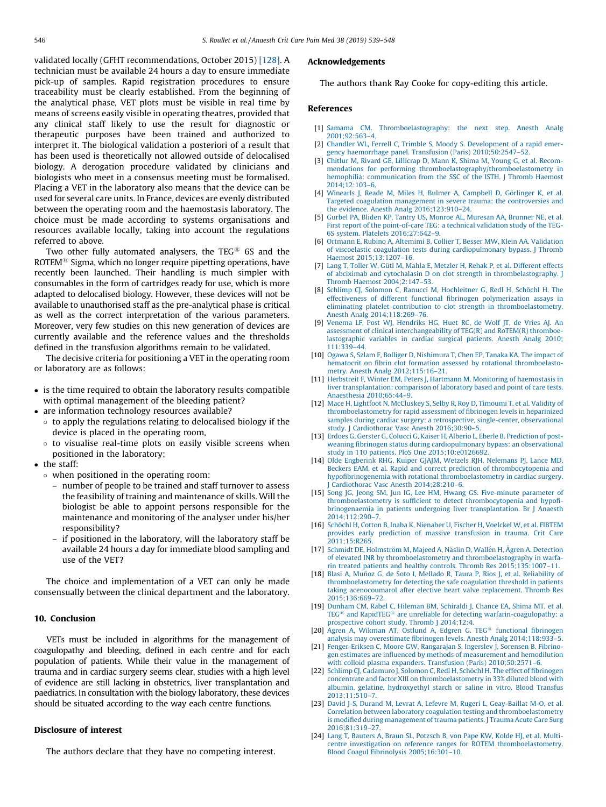<span id="page-7-0"></span>validated locally (GFHT recommendations, October 2015) [\[128\]](#page-9-0). A technician must be available 24 hours a day to ensure immediate pick-up of samples. Rapid registration procedures to ensure traceability must be clearly established. From the beginning of the analytical phase, VET plots must be visible in real time by means of screens easily visible in operating theatres, provided that any clinical staff likely to use the result for diagnostic or therapeutic purposes have been trained and authorized to interpret it. The biological validation a posteriori of a result that has been used is theoretically not allowed outside of delocalised biology. A derogation procedure validated by clinicians and biologists who meet in a consensus meeting must be formalised. Placing a VET in the laboratory also means that the device can be used for several care units. In France, devices are evenly distributed between the operating room and the haemostasis laboratory. The choice must be made according to systems organisations and resources available locally, taking into account the regulations referred to above.

Two other fully automated analysers, the TEG $<sup>®</sup>$  6S and the</sup> ROTEM $\mathbb{B}$  Sigma, which no longer require pipetting operations, have recently been launched. Their handling is much simpler with consumables in the form of cartridges ready for use, which is more adapted to delocalised biology. However, these devices will not be available to unauthorised staff as the pre-analytical phase is critical as well as the correct interpretation of the various parameters. Moreover, very few studies on this new generation of devices are currently available and the reference values and the thresholds defined in the transfusion algorithms remain to be validated.

The decisive criteria for positioning a VET in the operating room or laboratory are as follows:

- is the time required to obtain the laboratory results compatible with optimal management of the bleeding patient?
- are information technology resources available?
	- $\circ$  to apply the regulations relating to delocalised biology if the device is placed in the operating room,
	- $\circ$  to visualise real-time plots on easily visible screens when positioned in the laboratory;
- the staff:
	- when positioned in the operating room:
		- number of people to be trained and staff turnover to assess the feasibility of training and maintenance of skills. Will the biologist be able to appoint persons responsible for the maintenance and monitoring of the analyser under his/her responsibility?
		- if positioned in the laboratory, will the laboratory staff be available 24 hours a day for immediate blood sampling and use of the VET?

The choice and implementation of a VET can only be made consensually between the clinical department and the laboratory.

## 10. Conclusion

VETs must be included in algorithms for the management of coagulopathy and bleeding, defined in each centre and for each population of patients. While their value in the management of trauma and in cardiac surgery seems clear, studies with a high level of evidence are still lacking in obstetrics, liver transplantation and paediatrics. In consultation with the biology laboratory, these devices should be situated according to the way each centre functions.

## Disclosure of interest

The authors declare that they have no competing interest.

# Acknowledgements

The authors thank Ray Cooke for copy-editing this article.

#### References

- [1] Samama CM. [Thromboelastography:](http://refhub.elsevier.com/S2352-5568(17)30283-7/sbref0645) the next step. Anesth Analg [2001;92:563–4](http://refhub.elsevier.com/S2352-5568(17)30283-7/sbref0645).
- [2] Chandler WL, Ferrell C, Trimble S, Moody S. [Development](http://refhub.elsevier.com/S2352-5568(17)30283-7/sbref0650) of a rapid emergency haemorrhage panel. Transfusion (Paris) [2010;50:2547–52.](http://refhub.elsevier.com/S2352-5568(17)30283-7/sbref0650)
- [3] Chitlur M, Rivard GE, [Lillicrap](http://refhub.elsevier.com/S2352-5568(17)30283-7/sbref0655) D, Mann K, Shima M, Young G, et al. Recommendations for performing [thromboelastography/thromboelastometry](http://refhub.elsevier.com/S2352-5568(17)30283-7/sbref0655) in hemophilia: [communication](http://refhub.elsevier.com/S2352-5568(17)30283-7/sbref0655) from the SSC of the ISTH. J Thromb Haemost [2014;12:103–6](http://refhub.elsevier.com/S2352-5568(17)30283-7/sbref0655).
- [4] Winearls J, Reade M, Miles H, Bulmer A, [Campbell](http://refhub.elsevier.com/S2352-5568(17)30283-7/sbref0660) D, Görlinger K, et al. Targeted coagulation management in severe trauma: the [controversies](http://refhub.elsevier.com/S2352-5568(17)30283-7/sbref0660) and the evidence. Anesth Analg [2016;123:910–24](http://refhub.elsevier.com/S2352-5568(17)30283-7/sbref0660).
- [5] Gurbel PA, Bliden KP, Tantry US, Monroe AL, [Muresan](http://refhub.elsevier.com/S2352-5568(17)30283-7/sbref0665) AA, Brunner NE, et al. First report of the [point-of-care](http://refhub.elsevier.com/S2352-5568(17)30283-7/sbref0665) TEG: a technical validation study of the TEG-6S system. Platelets [2016;27:642–9.](http://refhub.elsevier.com/S2352-5568(17)30283-7/sbref0665)
- [6] Ortmann E, Rubino A, Altemimi B, Collier T, Besser MW, Klein AA. [Validation](http://refhub.elsevier.com/S2352-5568(17)30283-7/sbref0670) of viscoelastic coagulation tests during [cardiopulmonary](http://refhub.elsevier.com/S2352-5568(17)30283-7/sbref0670) bypass. J Thromb Haemost [2015;13:1207–16.](http://refhub.elsevier.com/S2352-5568(17)30283-7/sbref0670)
- [7] Lang T, Toller W, Gütl M, Mahla E, Metzler H, Rehak P, et al. [Different](http://refhub.elsevier.com/S2352-5568(17)30283-7/sbref0675) effects of abciximab and cytochalasin D on clot strength in [thrombelastography.](http://refhub.elsevier.com/S2352-5568(17)30283-7/sbref0675) J Thromb Haemost [2004;2:147–53](http://refhub.elsevier.com/S2352-5568(17)30283-7/sbref0675).
- [8] Schlimp CJ, Solomon C, Ranucci M, [Hochleitner](http://refhub.elsevier.com/S2352-5568(17)30283-7/sbref0680) G, Redl H, Schöchl H. The effectiveness of different functional fibrinogen [polymerization](http://refhub.elsevier.com/S2352-5568(17)30283-7/sbref0680) assays in eliminating platelet contribution to clot strength in [thromboelastometry.](http://refhub.elsevier.com/S2352-5568(17)30283-7/sbref0680) Anesth Analg [2014;118:269–76](http://refhub.elsevier.com/S2352-5568(17)30283-7/sbref0680).
- [9] Venema LF, Post WJ, [Hendriks](http://refhub.elsevier.com/S2352-5568(17)30283-7/sbref0685) HG, Huet RC, de Wolf JT, de Vries AJ. An assessment of clinical [interchangeability](http://refhub.elsevier.com/S2352-5568(17)30283-7/sbref0685) of TEG(R) and RoTEM(R) thromboe[lastographic](http://refhub.elsevier.com/S2352-5568(17)30283-7/sbref0685) variables in cardiac surgical patients. Anesth Analg 2010;  $111:339-44$
- [10] Ogawa S, Szlam F, Bolliger D, [Nishimura](http://refhub.elsevier.com/S2352-5568(17)30283-7/sbref0690) T, Chen EP, Tanaka KA. The impact of hematocrit on fibrin clot formation assessed by rotational [thromboelasto](http://refhub.elsevier.com/S2352-5568(17)30283-7/sbref0690)metry. Anesth Analg [2012;115:16–21](http://refhub.elsevier.com/S2352-5568(17)30283-7/sbref0690).
- [11] Herbstreit F, Winter EM, Peters J, Hartmann M. Monitoring of [haemostasis](http://refhub.elsevier.com/S2352-5568(17)30283-7/sbref0695) in liver [transplantation:](http://refhub.elsevier.com/S2352-5568(17)30283-7/sbref0695) comparison of laboratory based and point of care tests. Anaesthesia [2010;65:44–9.](http://refhub.elsevier.com/S2352-5568(17)30283-7/sbref0695)
- [12] Mace H, Lightfoot N, [McCluskey](http://refhub.elsevier.com/S2352-5568(17)30283-7/sbref0700) S, Selby R, Roy D, Timoumi T, et al. Validity of [thromboelastometry](http://refhub.elsevier.com/S2352-5568(17)30283-7/sbref0700) for rapid assessment of fibrinogen levels in heparinized samples during cardiac surgery: a [retrospective,](http://refhub.elsevier.com/S2352-5568(17)30283-7/sbref0700) single-center, observational study. J Cardiothorac Vasc Anesth [2016;30:90–5](http://refhub.elsevier.com/S2352-5568(17)30283-7/sbref0700).
- [13] Erdoes G, Gerster G, Colucci G, Kaiser H, Alberio L, Eberle B. [Prediction](http://refhub.elsevier.com/S2352-5568(17)30283-7/sbref0705) of postweaning fibrinogen status during [cardiopulmonary](http://refhub.elsevier.com/S2352-5568(17)30283-7/sbref0705) bypass: an observational study in 110 patients. PloS One [2015;10:e0126692](http://refhub.elsevier.com/S2352-5568(17)30283-7/sbref0705).
- [14] Olde [Engberink](http://refhub.elsevier.com/S2352-5568(17)30283-7/sbref0710) RHG, Kuiper GJAJM, Wetzels RJH, Nelemans PJ, Lance MD, Beckers EAM, et al. Rapid and correct prediction of [thrombocytopenia](http://refhub.elsevier.com/S2352-5568(17)30283-7/sbref0710) and hypofibrinogenemia with rotational [thromboelastometry](http://refhub.elsevier.com/S2352-5568(17)30283-7/sbref0710) in cardiac surgery. Cardiothorac Vasc Anesth 2014;28:210-6.
- [15] Song JG, Jeong SM, Jun IG, Lee HM, Hwang GS. [Five-minute](http://refhub.elsevier.com/S2352-5568(17)30283-7/sbref0715) parameter of [thromboelastometry](http://refhub.elsevier.com/S2352-5568(17)30283-7/sbref0715) is sufficient to detect thrombocytopenia and hypofibrinogenaemia in patients undergoing liver [transplantation.](http://refhub.elsevier.com/S2352-5568(17)30283-7/sbref0715) Br J Anaesth [2014;112:290–7.](http://refhub.elsevier.com/S2352-5568(17)30283-7/sbref0715)
- [16] Schöchl H, Cotton B, Inaba K, [Nienaber](http://refhub.elsevier.com/S2352-5568(17)30283-7/sbref0720) U, Fischer H, Voelckel W, et al. FIBTEM provides early prediction of massive [transfusion](http://refhub.elsevier.com/S2352-5568(17)30283-7/sbref0720) in trauma. Crit Care [2011;15:R265](http://refhub.elsevier.com/S2352-5568(17)30283-7/sbref0720).
- [17] Schmidt DE, Holmström M, Majeed A, Näslin D, Wallén H, Ågren A. Detection of elevated INR by thromboelastometry and [thromboelastography](http://refhub.elsevier.com/S2352-5568(17)30283-7/sbref0725) in warfarin treated patients and healthy controls. Thromb Res [2015;135:1007–11](http://refhub.elsevier.com/S2352-5568(17)30283-7/sbref0725).
- [18] Blasi A, Mun˜oz G, de Soto I, Mellado R, Taura P, Rios J, et al. [Reliability](http://refhub.elsevier.com/S2352-5568(17)30283-7/sbref0730) of [thromboelastometry](http://refhub.elsevier.com/S2352-5568(17)30283-7/sbref0730) for detecting the safe coagulation threshold in patients taking [acenocoumarol](http://refhub.elsevier.com/S2352-5568(17)30283-7/sbref0730) after elective heart valve replacement. Thromb Res [2015;136:669–72.](http://refhub.elsevier.com/S2352-5568(17)30283-7/sbref0730)
- [19] Dunham CM, Rabel C, Hileman BM, [Schiraldi](http://refhub.elsevier.com/S2352-5568(17)30283-7/sbref0735) J, Chance EA, Shima MT, et al.  $\mathrm{TEG}^{\circledR}$  $\mathrm{TEG}^{\circledR}$  $\mathrm{TEG}^{\circledR}$  and [RapidTEG](http://refhub.elsevier.com/S2352-5568(17)30283-7/sbref0735) $^{\circledR}$  are unreliable for detecting [warfarin-coagulopathy:](http://refhub.elsevier.com/S2352-5568(17)30283-7/sbref0735) a [prospective](http://refhub.elsevier.com/S2352-5568(17)30283-7/sbref0735) cohort study. Thromb J 2014;12:4.
- [20] Agren A, [Wikman](http://refhub.elsevier.com/S2352-5568(17)30283-7/sbref0740) AT, Ostlund A, Edgren G. TEG<sup>®</sup> functional [fibrinogen](http://refhub.elsevier.com/S2352-5568(17)30283-7/sbref0740) analysis may overestimate fibrinogen levels. Anesth Analg [2014;118:933–5](http://refhub.elsevier.com/S2352-5568(17)30283-7/sbref0740).
- [21] [Fenger-Eriksen](http://refhub.elsevier.com/S2352-5568(17)30283-7/sbref0745) C, Moore GW, Rangarajan S, Ingerslev J, Sorensen B. Fibrinogen estimates are influenced by methods of [measurement](http://refhub.elsevier.com/S2352-5568(17)30283-7/sbref0745) and hemodilution with colloid plasma expanders. Transfusion (Paris) [2010;50:2571–6](http://refhub.elsevier.com/S2352-5568(17)30283-7/sbref0745).
- [22] Schlimp CJ, Cadamuro J, Solomon C, Redl H, Schöchl H. The effect of [fibrinogen](http://refhub.elsevier.com/S2352-5568(17)30283-7/sbref0750) concentrate and factor XIII on [thromboelastometry](http://refhub.elsevier.com/S2352-5568(17)30283-7/sbref0750) in 33% diluted blood with albumin, gelatine, [hydroxyethyl](http://refhub.elsevier.com/S2352-5568(17)30283-7/sbref0750) starch or saline in vitro. Blood Transfus [2013;11:510–7.](http://refhub.elsevier.com/S2352-5568(17)30283-7/sbref0750)
- [23] David J-S, Durand M, Levrat A, Lefevre M, Rugeri L, [Geay-Baillat](http://refhub.elsevier.com/S2352-5568(17)30283-7/sbref0755) M-O, et al. Correlation between laboratory coagulation testing and [thromboelastometry](http://refhub.elsevier.com/S2352-5568(17)30283-7/sbref0755) is modified during [management](http://refhub.elsevier.com/S2352-5568(17)30283-7/sbref0755) of trauma patients. J Trauma Acute Care Surg [2016;81:319–27.](http://refhub.elsevier.com/S2352-5568(17)30283-7/sbref0755)
- [24] Lang T, Bauters A, Braun SL, [Potzsch](http://refhub.elsevier.com/S2352-5568(17)30283-7/sbref0760) B, von Pape KW, Kolde HJ, et al. Multicentre investigation on reference ranges for ROTEM [thromboelastometry.](http://refhub.elsevier.com/S2352-5568(17)30283-7/sbref0760) Blood Coagul Fibrinolysis [2005;16:301–10.](http://refhub.elsevier.com/S2352-5568(17)30283-7/sbref0760)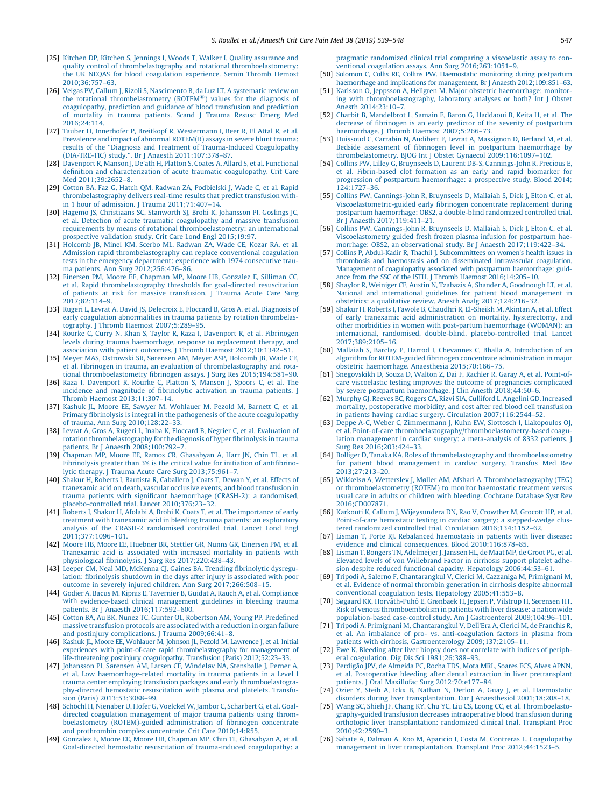- <span id="page-8-0"></span>[25] Kitchen DP, Kitchen S, Jennings I, Woods T, Walker I. Quality [assurance](http://refhub.elsevier.com/S2352-5568(17)30283-7/sbref0765) and quality control of thrombelastography and rotational [thromboelastometry:](http://refhub.elsevier.com/S2352-5568(17)30283-7/sbref0765) the UK NEQAS for blood [coagulation](http://refhub.elsevier.com/S2352-5568(17)30283-7/sbref0765) experience. Semin Thromb Hemost [2010;36:757–63.](http://refhub.elsevier.com/S2352-5568(17)30283-7/sbref0765)
- [26] Veigas PV, Callum J, Rizoli S, [Nascimento](http://refhub.elsevier.com/S2352-5568(17)30283-7/sbref0770) B, da Luz LT. A systematic review on the rotational [thrombelastometry](http://refhub.elsevier.com/S2352-5568(17)30283-7/sbref0770) ( $ROTEM^@$ ) values for the [diagnosis](http://refhub.elsevier.com/S2352-5568(17)30283-7/sbref0770) of [coagulopathy,](http://refhub.elsevier.com/S2352-5568(17)30283-7/sbref0770) prediction and guidance of blood transfusion and prediction of [mortality](http://refhub.elsevier.com/S2352-5568(17)30283-7/sbref0770) in trauma patients. Scand J Trauma Resusc Emerg Med [2016;24:114](http://refhub.elsevier.com/S2352-5568(17)30283-7/sbref0770).
- [27] Tauber H, Innerhofer P, Breitkopf R, [Westermann](http://refhub.elsevier.com/S2352-5568(17)30283-7/sbref0775) I, Beer R, El Attal R, et al. [Prevalence](http://refhub.elsevier.com/S2352-5568(17)30283-7/sbref0775) and impact of abnormal ROTEM(R) assays in severe blunt trauma: results of the ''Diagnosis and Treatment of [Trauma-Induced](http://refhub.elsevier.com/S2352-5568(17)30283-7/sbref0775) Coagulopathy (DIA-TRE-TIC) study.''. Br J Anaesth [2011;107:378–87](http://refhub.elsevier.com/S2352-5568(17)30283-7/sbref0775).
- [28] Davenport R, Manson J, De'ath H, Platton S, Coates A, Allard S, et al. [Functional](http://refhub.elsevier.com/S2352-5568(17)30283-7/sbref0780) definition and [characterization](http://refhub.elsevier.com/S2352-5568(17)30283-7/sbref0780) of acute traumatic coagulopathy. Crit Care Med [2011;39:2652–8.](http://refhub.elsevier.com/S2352-5568(17)30283-7/sbref0780)
- [29] Cotton BA, Faz G, Hatch QM, Radwan ZA, [Podbielski](http://refhub.elsevier.com/S2352-5568(17)30283-7/sbref0785) J, Wade C, et al. Rapid [thrombelastography](http://refhub.elsevier.com/S2352-5568(17)30283-7/sbref0785) delivers real-time results that predict transfusion with[in](http://refhub.elsevier.com/S2352-5568(17)30283-7/sbref0785) 1 hour of admission. J Trauma [2011;71:407–14](http://refhub.elsevier.com/S2352-5568(17)30283-7/sbref0785).
- [30] Hagemo JS, [Christiaans](http://refhub.elsevier.com/S2352-5568(17)30283-7/sbref0790) SC, Stanworth SJ, Brohi K, Johansson PI, Goslings JC, et al. Detection of acute traumatic [coagulopathy](http://refhub.elsevier.com/S2352-5568(17)30283-7/sbref0790) and massive transfusion requirements by means of rotational [thromboelastometry:](http://refhub.elsevier.com/S2352-5568(17)30283-7/sbref0790) an international prospective validation study. Crit Care Lond Engl [2015;19:97](http://refhub.elsevier.com/S2352-5568(17)30283-7/sbref0790).
- [31] [Holcomb](http://refhub.elsevier.com/S2352-5568(17)30283-7/sbref0795) JB, Minei KM, Scerbo ML, Radwan ZA, Wade CE, Kozar RA, et al. Admission rapid [thrombelastography](http://refhub.elsevier.com/S2352-5568(17)30283-7/sbref0795) can replace conventional coagulation tests in the emergency [department:](http://refhub.elsevier.com/S2352-5568(17)30283-7/sbref0795) experience with 1974 consecutive trauma patients. Ann Surg [2012;256:476–86](http://refhub.elsevier.com/S2352-5568(17)30283-7/sbref0795).
- [32] Einersen PM, Moore EE, [Chapman](http://refhub.elsevier.com/S2352-5568(17)30283-7/sbref0800) MP, Moore HB, Gonzalez E, Silliman CC, et al. Rapid [thrombelastography](http://refhub.elsevier.com/S2352-5568(17)30283-7/sbref0800) thresholds for goal-directed resuscitation of patients at risk for massive [transfusion.](http://refhub.elsevier.com/S2352-5568(17)30283-7/sbref0800) J Trauma Acute Care Surg [2017;82:114–9.](http://refhub.elsevier.com/S2352-5568(17)30283-7/sbref0800)
- [33] Rugeri L, Levrat A, David JS, Delecroix E, Floccard B, Gros A, et al. [Diagnosis](http://refhub.elsevier.com/S2352-5568(17)30283-7/sbref0805) of early coagulation [abnormalities](http://refhub.elsevier.com/S2352-5568(17)30283-7/sbref0805) in trauma patients by rotation thrombelastography. J Thromb Haemost [2007;5:289–95](http://refhub.elsevier.com/S2352-5568(17)30283-7/sbref0805).
- [34] Rourke C, Curry N, Khan S, Taylor R, Raza I, Davenport R, et al. [Fibrinogen](http://refhub.elsevier.com/S2352-5568(17)30283-7/sbref0810) levels during trauma [haemorrhage,](http://refhub.elsevier.com/S2352-5568(17)30283-7/sbref0810) response to replacement therapy, and association with patient outcomes. J Thromb Haemost [2012;10:1342–51.](http://refhub.elsevier.com/S2352-5568(17)30283-7/sbref0810)
- [35] Meyer MAS, [Ostrowski](http://refhub.elsevier.com/S2352-5568(17)30283-7/sbref0815) SR, Sørensen AM, Meyer ASP, Holcomb JB, Wade CE, et al. Fibrinogen in trauma, an evaluation of [thrombelastography](http://refhub.elsevier.com/S2352-5568(17)30283-7/sbref0815) and rotational [thromboelastometry](http://refhub.elsevier.com/S2352-5568(17)30283-7/sbref0815) fibrinogen assays. J Surg Res 2015;194:581–90.
- [36] Raza I, [Davenport](http://refhub.elsevier.com/S2352-5568(17)30283-7/sbref0820) R, Rourke C, Platton S, Manson J, Spoors C, et al. The incidence and magnitude of [fibrinolytic](http://refhub.elsevier.com/S2352-5568(17)30283-7/sbref0820) activation in trauma patients. J Thromb Haemost [2013;11:307–14](http://refhub.elsevier.com/S2352-5568(17)30283-7/sbref0820).
- [37] Kashuk JL, Moore EE, Sawyer M, [Wohlauer](http://refhub.elsevier.com/S2352-5568(17)30283-7/sbref0825) M, Pezold M, Barnett C, et al. Primary fibrinolysis is integral in the pathogenesis of the acute [coagulopathy](http://refhub.elsevier.com/S2352-5568(17)30283-7/sbref0825) of trauma. Ann Surg [2010;128:22–33](http://refhub.elsevier.com/S2352-5568(17)30283-7/sbref0825).
- [38] Levrat A, Gros A, Rugeri L, Inaba K, Floccard B, Negrier C, et al. [Evaluation](http://refhub.elsevier.com/S2352-5568(17)30283-7/sbref0830) of rotation [thrombelastography](http://refhub.elsevier.com/S2352-5568(17)30283-7/sbref0830) for the diagnosis of hyper fibrinolysis in trauma patients. Br J Anaesth [2008;100:792–7](http://refhub.elsevier.com/S2352-5568(17)30283-7/sbref0830).
- [39] Chapman MP, Moore EE, Ramos CR, [Ghasabyan](http://refhub.elsevier.com/S2352-5568(17)30283-7/sbref0835) A, Harr JN, Chin TL, et al. Fibrinolysis greater than 3% is the critical value for initiation of [antifibrino](http://refhub.elsevier.com/S2352-5568(17)30283-7/sbref0835)lytic therapy. J Trauma Acute Care Surg [2013;75:961–7](http://refhub.elsevier.com/S2352-5568(17)30283-7/sbref0835).
- [40] Shakur H, Roberts I, Bautista R, [Caballero](http://refhub.elsevier.com/S2352-5568(17)30283-7/sbref0840) J, Coats T, Dewan Y, et al. Effects of tranexamic acid on death, vascular occlusive events, and blood [transfusion](http://refhub.elsevier.com/S2352-5568(17)30283-7/sbref0840) in trauma patients with significant [haemorrhage](http://refhub.elsevier.com/S2352-5568(17)30283-7/sbref0840) (CRASH-2): a randomised, [placebo-controlled](http://refhub.elsevier.com/S2352-5568(17)30283-7/sbref0840) trial. Lancet 2010;376:23–32.
- [41] Roberts I, Shakur H, Afolabi A, Brohi K, Coats T, et al. The [importance](http://refhub.elsevier.com/S2352-5568(17)30283-7/sbref0845) of early treatment with tranexamic acid in bleeding trauma patients: an [exploratory](http://refhub.elsevier.com/S2352-5568(17)30283-7/sbref0845) analysis of the CRASH-2 [randomised](http://refhub.elsevier.com/S2352-5568(17)30283-7/sbref0845) controlled trial. Lancet Lond Engl [2011;377:1096–101](http://refhub.elsevier.com/S2352-5568(17)30283-7/sbref0845).
- [42] Moore HB, Moore EE, [Huebner](http://refhub.elsevier.com/S2352-5568(17)30283-7/sbref0850) BR, Stettler GR, Nunns GR, Einersen PM, et al. [Tranexamic](http://refhub.elsevier.com/S2352-5568(17)30283-7/sbref0850) acid is associated with increased mortality in patients with physiological fibrinolysis. J Surg Res [2017;220:438–43.](http://refhub.elsevier.com/S2352-5568(17)30283-7/sbref0850)
- [43] Leeper CM, Neal MD, McKenna CJ, Gaines BA. Trending [fibrinolytic](http://refhub.elsevier.com/S2352-5568(17)30283-7/sbref0855) dysregulation: [fibrinolysis](http://refhub.elsevier.com/S2352-5568(17)30283-7/sbref0855) shutdown in the days after injury is associated with poor outcome in severely injured children. Ann Surg [2017;266:508–15](http://refhub.elsevier.com/S2352-5568(17)30283-7/sbref0855).
- [44] Godier A, Bacus M, Kipnis E, Tavernier B, Guidat A, Rauch A, et al. [Compliance](http://refhub.elsevier.com/S2352-5568(17)30283-7/sbref0860) with [evidence-based](http://refhub.elsevier.com/S2352-5568(17)30283-7/sbref0860) clinical management guidelines in bleeding trauma patients. Br J Anaesth [2016;117:592–600.](http://refhub.elsevier.com/S2352-5568(17)30283-7/sbref0860)
- [45] Cotton BA, Au BK, Nunez TC, Gunter OL, Robertson AM, Young PP. [Predefined](http://refhub.elsevier.com/S2352-5568(17)30283-7/sbref0865) massive [transfusion](http://refhub.elsevier.com/S2352-5568(17)30283-7/sbref0865) protocols are associated with a reduction in organ failure and postinjury [complications.](http://refhub.elsevier.com/S2352-5568(17)30283-7/sbref0865) J Trauma 2009;66:41–8.
- [46] Kashuk JL, Moore EE, [Wohlauer](http://refhub.elsevier.com/S2352-5568(17)30283-7/sbref0870) M, Johnson JL, Pezold M, Lawrence J, et al. Initial experiences with point-of-care rapid [thrombelastography](http://refhub.elsevier.com/S2352-5568(17)30283-7/sbref0870) for management of [life-threatening](http://refhub.elsevier.com/S2352-5568(17)30283-7/sbref0870) postinjury coagulopathy. Transfusion (Paris) 2012;52:23–33. [47] Johansson PI, Sørensen AM, Larsen CF, Windeløv NA, [Stensballe](http://refhub.elsevier.com/S2352-5568(17)30283-7/sbref0875) J, Perner A,
- et al. Low [haemorrhage-related](http://refhub.elsevier.com/S2352-5568(17)30283-7/sbref0875) mortality in trauma patients in a Level I trauma center employing transfusion packages and early [thromboelastogra](http://refhub.elsevier.com/S2352-5568(17)30283-7/sbref0875)phy-directed hemostatic [resuscitation](http://refhub.elsevier.com/S2352-5568(17)30283-7/sbref0875) with plasma and platelets. Transfusion (Paris) [2013;53:3088–99](http://refhub.elsevier.com/S2352-5568(17)30283-7/sbref0875).
- [48] Schöchl H, Nienaber U, Hofer G, Voelckel W, Jambor C, [Scharbert](http://refhub.elsevier.com/S2352-5568(17)30283-7/sbref0880) G, et al. Goaldirected coagulation [management](http://refhub.elsevier.com/S2352-5568(17)30283-7/sbref0880) of major trauma patients using thromboelastometry [\(ROTEM\)-guided](http://refhub.elsevier.com/S2352-5568(17)30283-7/sbref0880) administration of fibrinogen concentrate and prothrombin complex concentrate. Crit Care [2010;14:R55.](http://refhub.elsevier.com/S2352-5568(17)30283-7/sbref0880)
- [49] Gonzalez E, Moore EE, Moore HB, Chapman MP, Chin TL, [Ghasabyan](http://refhub.elsevier.com/S2352-5568(17)30283-7/sbref0885) A, et al. Goal-directed hemostatic resuscitation of [trauma-induced](http://refhub.elsevier.com/S2352-5568(17)30283-7/sbref0885) coagulopathy: a

pragmatic [randomized](http://refhub.elsevier.com/S2352-5568(17)30283-7/sbref0885) clinical trial comparing a viscoelastic assay to conventional coagulation assays. Ann Surg [2016;263:1051–9](http://refhub.elsevier.com/S2352-5568(17)30283-7/sbref0885).

- [50] Solomon C, Collis RE, Collins PW. [Haemostatic](http://refhub.elsevier.com/S2352-5568(17)30283-7/sbref0890) monitoring during postpartum haemorrhage and implications for management. Br J Anaesth 2012;109:851-63.
- [51] Karlsson O, Jeppsson A, Hellgren M. Major obstetric [haemorrhage:](http://refhub.elsevier.com/S2352-5568(17)30283-7/sbref0895) monitoring with [thromboelastography,](http://refhub.elsevier.com/S2352-5568(17)30283-7/sbref0895) laboratory analyses or both? Int J Obstet Anesth [2014;23:10–7](http://refhub.elsevier.com/S2352-5568(17)30283-7/sbref0895).
- [52] Charbit B, [Mandelbrot](http://refhub.elsevier.com/S2352-5568(17)30283-7/sbref0900) L, Samain E, Baron G, Haddaoui B, Keita H, et al. The decrease of fibrinogen is an early predictor of the severity of [postpartum](http://refhub.elsevier.com/S2352-5568(17)30283-7/sbref0900) haemorrhage. J Thromb Haemost 2007;5:266-73.
- [53] Huissoud C, Carrabin N, Audibert F, Levrat A, [Massignon](http://refhub.elsevier.com/S2352-5568(17)30283-7/sbref0905) D, Berland M, et al. Bedside assessment of fibrinogen level in postpartum [haemorrhage](http://refhub.elsevier.com/S2352-5568(17)30283-7/sbref0905) by thrombelastometry. BJOG Int J Obstet Gynaecol [2009;116:1097–102.](http://refhub.elsevier.com/S2352-5568(17)30283-7/sbref0905)
- [54] Collins PW, Lilley G, Bruynseels D, Laurent DB-S, [Cannings-John](http://refhub.elsevier.com/S2352-5568(17)30283-7/sbref0910) R, Precious E, et al. [Fibrin-based](http://refhub.elsevier.com/S2352-5568(17)30283-7/sbref0910) clot formation as an early and rapid biomarker for progression of postpartum [haemorrhage:](http://refhub.elsevier.com/S2352-5568(17)30283-7/sbref0910) a prospective study. Blood 2014; [124:1727–36.](http://refhub.elsevier.com/S2352-5568(17)30283-7/sbref0910)
- [55] Collins PW, [Cannings-John](http://refhub.elsevier.com/S2352-5568(17)30283-7/sbref0915) R, Bruynseels D, Mallaiah S, Dick J, Elton C, et al. [Viscoelastometric-guided](http://refhub.elsevier.com/S2352-5568(17)30283-7/sbref0915) early fibrinogen concentrate replacement during postpartum [haemorrhage:](http://refhub.elsevier.com/S2352-5568(17)30283-7/sbref0915) OBS2, a double-blind randomized controlled trial. Br J Anaesth [2017;119:411–21.](http://refhub.elsevier.com/S2352-5568(17)30283-7/sbref0915)
- [56] Collins PW, [Cannings-John](http://refhub.elsevier.com/S2352-5568(17)30283-7/sbref0920) R, Bruynseels D, Mallaiah S, Dick J, Elton C, et al. [Viscoelastometry](http://refhub.elsevier.com/S2352-5568(17)30283-7/sbref0920) guided fresh frozen plasma infusion for postpartum haemorrhage: OBS2, an observational study. Br J Anaesth [2017;119:422–34.](http://refhub.elsevier.com/S2352-5568(17)30283-7/sbref0920)
- [57] Collins P, Abdul-Kadir R, Thachil J. [Subcommittees](http://refhub.elsevier.com/S2352-5568(17)30283-7/sbref0925) on women's health issues in thrombosis and haemostasis and on [disseminated](http://refhub.elsevier.com/S2352-5568(17)30283-7/sbref0925) intravascular coagulation. Management of coagulopathy associated with postpartum [haemorrhage:](http://refhub.elsevier.com/S2352-5568(17)30283-7/sbref0925) guidance from the SSC of the ISTH. J Thromb Haemost [2016;14:205–10.](http://refhub.elsevier.com/S2352-5568(17)30283-7/sbref0925)
- [58] Shaylor R, Weiniger CF, Austin N, Tzabazis A, Shander A, [Goodnough](http://refhub.elsevier.com/S2352-5568(17)30283-7/sbref0930) LT, et al. National and international guidelines for patient blood [management](http://refhub.elsevier.com/S2352-5568(17)30283-7/sbref0930) in obstetrics: a qualitative review. Anesth Analg [2017;124:216–32](http://refhub.elsevier.com/S2352-5568(17)30283-7/sbref0930).
- [59] Shakur H, Roberts I, Fawole B, Chaudhri R, [El-Sheikh](http://refhub.elsevier.com/S2352-5568(17)30283-7/sbref0935) M, Akintan A, et al. Effect of early tranexamic acid [administration](http://refhub.elsevier.com/S2352-5568(17)30283-7/sbref0935) on mortality, hysterectomy, and other morbidities in women with post-partum [haemorrhage](http://refhub.elsevier.com/S2352-5568(17)30283-7/sbref0935) (WOMAN): an international, randomised, double-blind, [placebo-controlled](http://refhub.elsevier.com/S2352-5568(17)30283-7/sbref0935) trial. Lancet [2017;389:2105–16](http://refhub.elsevier.com/S2352-5568(17)30283-7/sbref0935).
- [60] Mallaiah S, Barclay P, Harrod I, Chevannes C, Bhalla A. [Introduction](http://refhub.elsevier.com/S2352-5568(17)30283-7/sbref0940) of an algorithm for [ROTEM-guided](http://refhub.elsevier.com/S2352-5568(17)30283-7/sbref0940) fibrinogen concentrate administration in major obstetric haemorrhage. Anaesthesia [2015;70:166–75.](http://refhub.elsevier.com/S2352-5568(17)30283-7/sbref0940)
- [61] [Snegovskikh](http://refhub.elsevier.com/S2352-5568(17)30283-7/sbref0945) D, Souza D, Walton Z, Dai F, Rachler R, Garay A, et al. Point-ofcare viscoelastic testing improves the outcome of pregnancies [complicated](http://refhub.elsevier.com/S2352-5568(17)30283-7/sbref0945) by severe postpartum haemorrhage. J Clin Anesth [2018;44:50–6.](http://refhub.elsevier.com/S2352-5568(17)30283-7/sbref0945)
- [62] Murphy GJ, Reeves BC, Rogers CA, Rizvi SIA, Culliford L, Angelini GD. [Increased](http://refhub.elsevier.com/S2352-5568(17)30283-7/sbref0950) mortality, [postoperative](http://refhub.elsevier.com/S2352-5568(17)30283-7/sbref0950) morbidity, and cost after red blood cell transfusion in patients having cardiac surgery. Circulation [2007;116:2544–52](http://refhub.elsevier.com/S2352-5568(17)30283-7/sbref0950).
- [63] Deppe A-C, Weber C, [Zimmermann](http://refhub.elsevier.com/S2352-5568(17)30283-7/sbref0955) J, Kuhn EW, Slottosch I, Liakopoulos OJ, et al. Point-of-care [thromboelastography/thromboelastometry-based](http://refhub.elsevier.com/S2352-5568(17)30283-7/sbref0955) coagulation management in cardiac surgery: a [meta-analysis](http://refhub.elsevier.com/S2352-5568(17)30283-7/sbref0955) of 8332 patients. J Surg Res [2016;203:424–33](http://refhub.elsevier.com/S2352-5568(17)30283-7/sbref0955).
- [64] Bolliger D, Tanaka KA. Roles of thrombelastography and [thromboelastometry](http://refhub.elsevier.com/S2352-5568(17)30283-7/sbref0960) for patient blood [management](http://refhub.elsevier.com/S2352-5568(17)30283-7/sbref0960) in cardiac surgery. Transfus Med Rev [2013;27:213–20.](http://refhub.elsevier.com/S2352-5568(17)30283-7/sbref0960)
- [65] Wikkelsø A, Wetterslev J, Møller AM, Afshari A. [Thromboelastography](http://refhub.elsevier.com/S2352-5568(17)30283-7/sbref0965) (TEG) or [thromboelastometry](http://refhub.elsevier.com/S2352-5568(17)30283-7/sbref0965) (ROTEM) to monitor haemostatic treatment versus usual care in adults or children with bleeding. [Cochrane](http://refhub.elsevier.com/S2352-5568(17)30283-7/sbref0965) Database Syst Rev [2016;CD007871](http://refhub.elsevier.com/S2352-5568(17)30283-7/sbref0965).
- [66] Karkouti K, Callum J, [Wijeysundera](http://refhub.elsevier.com/S2352-5568(17)30283-7/sbref0970) DN, Rao V, Crowther M, Grocott HP, et al. Point-of-care hemostatic testing in cardiac surgery: a [stepped-wedge](http://refhub.elsevier.com/S2352-5568(17)30283-7/sbref0970) clustered randomized controlled trial. Circulation [2016;134:1152–62](http://refhub.elsevier.com/S2352-5568(17)30283-7/sbref0970).
- [67] Lisman T, Porte RJ. Rebalanced [haemostasis](http://refhub.elsevier.com/S2352-5568(17)30283-7/sbref0975) in patients with liver disease: evidence and clinical consequences. Blood [2010;116:878–85](http://refhub.elsevier.com/S2352-5568(17)30283-7/sbref0975).
- [68] Lisman T, Bongers TN, [Adelmeijer](http://refhub.elsevier.com/S2352-5568(17)30283-7/sbref0980) J, Janssen HL, de Maat MP, de Groot PG, et al. Elevated levels of von [Willebrand](http://refhub.elsevier.com/S2352-5568(17)30283-7/sbref0980) Factor in cirrhosis support platelet adhesion despite reduced functional capacity. Hepatology [2006;44:53–61.](http://refhub.elsevier.com/S2352-5568(17)30283-7/sbref0980)
- [69] Tripodi A, Salerno F, [Chantarangkul](http://refhub.elsevier.com/S2352-5568(17)30283-7/sbref0985) V, Clerici M, Cazzaniga M, Primignani M, et al. Evidence of normal thrombin [generation](http://refhub.elsevier.com/S2352-5568(17)30283-7/sbref0985) in cirrhosis despite abnormal conventional coagulation tests. Hepatology [2005;41:553–8.](http://refhub.elsevier.com/S2352-5568(17)30283-7/sbref0985)
- [70] Søgaard KK, [Horva´th-Puho´](http://refhub.elsevier.com/S2352-5568(17)30283-7/sbref0990) E, Grønbaek H, Jepsen P, Vilstrup H, Sørensen HT. Risk of venous [thromboembolism](http://refhub.elsevier.com/S2352-5568(17)30283-7/sbref0990) in patients with liver disease: a nationwide population-based case-control study. Am J Gastroenterol [2009;104:96–101.](http://refhub.elsevier.com/S2352-5568(17)30283-7/sbref0990)
- [71] Tripodi A, Primignani M, [Chantarangkul](http://refhub.elsevier.com/S2352-5568(17)30283-7/sbref0995) V, Dell'Era A, Clerici M, de Franchis R, et al. An imbalance of pro- vs. [anti-coagulation](http://refhub.elsevier.com/S2352-5568(17)30283-7/sbref0995) factors in plasma from patients with cirrhosis. Gastroenterology [2009;137:2105–11.](http://refhub.elsevier.com/S2352-5568(17)30283-7/sbref0995)
- [72] Ewe K. Bleeding after liver biopsy does not [correlate](http://refhub.elsevier.com/S2352-5568(17)30283-7/sbref1000) with indices of peripheral coagulation. Dig Dis Sci [1981;26:388–93](http://refhub.elsevier.com/S2352-5568(17)30283-7/sbref1000).
- [73] Perdigão JPV, de Almeida PC, Rocha TDS, Mota MRL, Soares ECS, Alves APNN, et al. [Postoperative](http://refhub.elsevier.com/S2352-5568(17)30283-7/sbref1005) bleeding after dental extraction in liver pretransplant patients. J Oral Maxillofac Surg [2012;70:e177–84](http://refhub.elsevier.com/S2352-5568(17)30283-7/sbref1005).
- [74] Ozier Y, Steib A, Ickx B, Nathan N, Derlon A, Guay J, et al. [Haemostatic](http://refhub.elsevier.com/S2352-5568(17)30283-7/sbref1010) disorders during liver transplantation. Eur J Anaesthesiol [2001;18:208–18.](http://refhub.elsevier.com/S2352-5568(17)30283-7/sbref1010)
- [75] Wang SC, Shieh JF, Chang KY, Chu YC, Liu CS, Loong CC, et al. [Thromboelasto](http://refhub.elsevier.com/S2352-5568(17)30283-7/sbref1015)[graphy-guided](http://refhub.elsevier.com/S2352-5568(17)30283-7/sbref1015) transfusion decreases intraoperative blood transfusion during orthotopic liver [transplantation:](http://refhub.elsevier.com/S2352-5568(17)30283-7/sbref1015) randomized clinical trial. Transplant Proc [2010;42:2590–3.](http://refhub.elsevier.com/S2352-5568(17)30283-7/sbref1015)
- [76] Sabate A, Dalmau A, Koo M, Aparicio I, Costa M, Contreras L. [Coagulopathy](http://refhub.elsevier.com/S2352-5568(17)30283-7/sbref1020) management in liver transplantation. Transplant Proc [2012;44:1523–5.](http://refhub.elsevier.com/S2352-5568(17)30283-7/sbref1020)